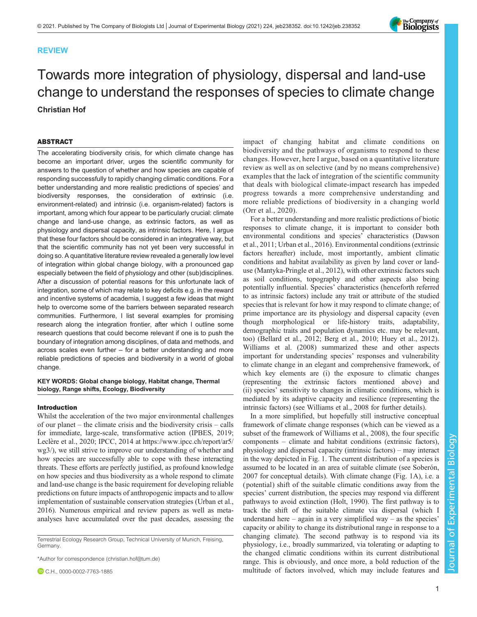## REVIEW

# Towards more integration of physiology, dispersal and land-use change to understand the responses of species to climate change Christian Hof

### ABSTRACT

The accelerating biodiversity crisis, for which climate change has become an important driver, urges the scientific community for answers to the question of whether and how species are capable of responding successfully to rapidly changing climatic conditions. For a better understanding and more realistic predictions of species' and biodiversity responses, the consideration of extrinsic (i.e. environment-related) and intrinsic (i.e. organism-related) factors is important, among which four appear to be particularly crucial: climate change and land-use change, as extrinsic factors, as well as physiology and dispersal capacity, as intrinsic factors. Here, I argue that these four factors should be considered in an integrative way, but that the scientific community has not yet been very successful in doing so. A quantitative literature review revealed a generally low level of integration within global change biology, with a pronounced gap especially between the field of physiology and other (sub)disciplines. After a discussion of potential reasons for this unfortunate lack of integration, some of which may relate to key deficits e.g. in the reward and incentive systems of academia, I suggest a few ideas that might help to overcome some of the barriers between separated research communities. Furthermore, I list several examples for promising research along the integration frontier, after which I outline some research questions that could become relevant if one is to push the boundary of integration among disciplines, of data and methods, and across scales even further – for a better understanding and more reliable predictions of species and biodiversity in a world of global change.

#### KEY WORDS: Global change biology, Habitat change, Thermal biology, Range shifts, Ecology, Biodiversity

#### Introduction

Whilst the acceleration of the two major environmental challenges of our planet – the climate crisis and the biodiversity crisis – calls for immediate, large-scale, transformative action ([IPBES, 2019](#page-11-0); Leclère et al., 2020; IPCC, 2014 at [https://www.ipcc.ch/report/ar5/](https://www.ipcc.ch/report/ar5/wg3/) [wg3/\)](https://www.ipcc.ch/report/ar5/wg3/), we still strive to improve our understanding of whether and how species are successfully able to cope with these interacting threats. These efforts are perfectly justified, as profound knowledge on how species and thus biodiversity as a whole respond to climate and land-use change is the basic requirement for developing reliable predictions on future impacts of anthropogenic impacts and to allow implementation of sustainable conservation strategies ([Urban et al.,](#page-13-0) [2016](#page-13-0)). Numerous empirical and review papers as well as metaanalyses have accumulated over the past decades, assessing the

Terrestrial Ecology Research Group, Technical University of Munich, Freising, Germany.

\*Author for correspondence [\(christian.hof@tum.de](mailto:christian.hof@tum.de))

C.H., [0000-0002-7763-1885](http://orcid.org/0000-0002-7763-1885)

impact of changing habitat and climate conditions on biodiversity and the pathways of organisms to respond to these changes. However, here I argue, based on a quantitative literature review as well as on selective (and by no means comprehensive) examples that the lack of integration of the scientific community that deals with biological climate-impact research has impeded progress towards a more comprehensive understanding and more reliable predictions of biodiversity in a changing world [\(Orr et al., 2020](#page-12-0)).

For a better understanding and more realistic predictions of biotic responses to climate change, it is important to consider both environmental conditions and species' characteristics [\(Dawson](#page-11-0) [et al., 2011;](#page-11-0) [Urban et al., 2016\)](#page-13-0). Environmental conditions (extrinsic factors hereafter) include, most importantly, ambient climatic conditions and habitat availability as given by land cover or landuse ([Mantyka-Pringle et al., 2012](#page-12-0)), with other extrinsic factors such as soil conditions, topography and other aspects also being potentially influential. Species' characteristics (henceforth referred to as intrinsic factors) include any trait or attribute of the studied species that is relevant for how it may respond to climate change; of prime importance are its physiology and dispersal capacity (even though morphological or life-history traits, adaptability, demographic traits and population dynamics etc. may be relevant, too) ([Bellard et al., 2012](#page-10-0); [Berg et al., 2010](#page-10-0); [Huey et al., 2012\)](#page-11-0). [Williams et al. \(2008\)](#page-13-0) summarized these and other aspects important for understanding species' responses and vulnerability to climate change in an elegant and comprehensive framework, of which key elements are (i) the exposure to climatic changes (representing the extrinsic factors mentioned above) and (ii) species' sensitivity to changes in climatic conditions, which is mediated by its adaptive capacity and resilience (representing the intrinsic factors) (see [Williams et al., 2008](#page-13-0) for further details).

In a more simplified, but hopefully still instructive conceptual framework of climate change responses (which can be viewed as a subset of the framework of [Williams et al., 2008\)](#page-13-0), the four specific components – climate and habitat conditions (extrinsic factors), physiology and dispersal capacity (intrinsic factors) – may interact in the way depicted in [Fig. 1](#page-1-0). The current distribution of a species is assumed to be located in an area of suitable climate (see [Soberón,](#page-12-0) [2007](#page-12-0) for conceptual details). With climate change ([Fig. 1](#page-1-0)A), i.e. a ( potential) shift of the suitable climatic conditions away from the species' current distribution, the species may respond via different pathways to avoid extinction ([Holt, 1990\)](#page-11-0). The first pathway is to track the shift of the suitable climate via dispersal (which I understand here  $-$  again in a very simplified way  $-$  as the species' capacity or ability to change its distributional range in response to a changing climate). The second pathway is to respond via its physiology, i.e., broadly summarized, via tolerating or adapting to the changed climatic conditions within its current distributional range. This is obviously, and once more, a bold reduction of the multitude of factors involved, which may include features and

# Journal of Experimental BiologyExperimental Journal of

Biology

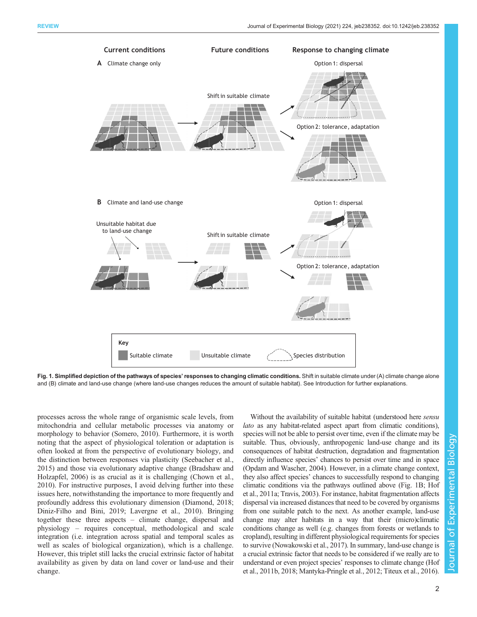<span id="page-1-0"></span>

Fig. 1. Simplified depiction of the pathways of species' responses to changing climatic conditions. Shift in suitable climate under (A) climate change alone and (B) climate and land-use change (where land-use changes reduces the amount of suitable habitat). See Introduction for further explanations.

processes across the whole range of organismic scale levels, from mitochondria and cellular metabolic processes via anatomy or morphology to behavior ([Somero, 2010](#page-12-0)). Furthermore, it is worth noting that the aspect of physiological toleration or adaptation is often looked at from the perspective of evolutionary biology, and the distinction between responses via plasticity ([Seebacher et al.,](#page-12-0) [2015](#page-12-0)) and those via evolutionary adaptive change ([Bradshaw and](#page-10-0) [Holzapfel, 2006\)](#page-10-0) is as crucial as it is challenging [\(Chown et al.,](#page-11-0) [2010](#page-11-0)). For instructive purposes, I avoid delving further into these issues here, notwithstanding the importance to more frequently and profoundly address this evolutionary dimension ([Diamond, 2018](#page-11-0); [Diniz-Filho and Bini, 2019](#page-11-0); [Lavergne et al., 2010\)](#page-12-0). Bringing together these three aspects – climate change, dispersal and physiology – requires conceptual, methodological and scale integration (i.e. integration across spatial and temporal scales as well as scales of biological organization), which is a challenge. However, this triplet still lacks the crucial extrinsic factor of habitat availability as given by data on land cover or land-use and their change.

Without the availability of suitable habitat (understood here *sensu* lato as any habitat-related aspect apart from climatic conditions), species will not be able to persist over time, even if the climate may be suitable. Thus, obviously, anthropogenic land-use change and its consequences of habitat destruction, degradation and fragmentation directly influence species' chances to persist over time and in space [\(Opdam and Wascher, 2004\)](#page-12-0). However, in a climate change context, they also affect species' chances to successfully respond to changing climatic conditions via the pathways outlined above (Fig. 1B; [Hof](#page-11-0) [et al., 2011a;](#page-11-0) [Travis, 2003\)](#page-13-0). For instance, habitat fragmentation affects dispersal via increased distances that need to be covered by organisms from one suitable patch to the next. As another example, land-use change may alter habitats in a way that their (micro)climatic conditions change as well (e.g. changes from forests or wetlands to cropland), resulting in different physiological requirements for species to survive ([Nowakowski et al., 2017](#page-12-0)). In summary, land-use change is a crucial extrinsic factor that needs to be considered if we really are to understand or even project species' responses to climate change ([Hof](#page-11-0) [et al., 2011b, 2018;](#page-11-0) [Mantyka-Pringle et al., 2012](#page-12-0); [Titeux et al., 2016\)](#page-12-0).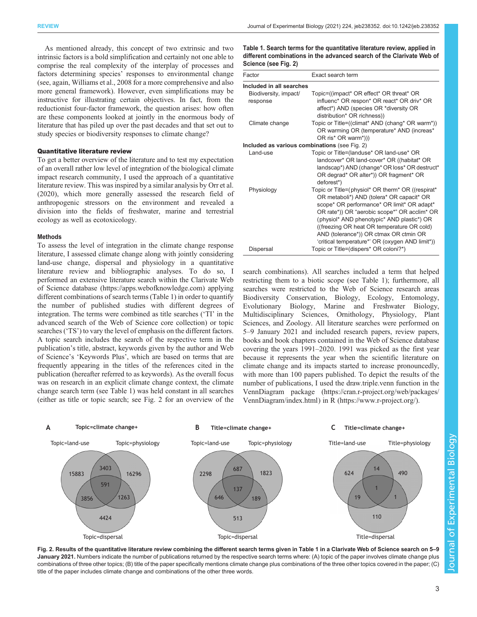<span id="page-2-0"></span>As mentioned already, this concept of two extrinsic and two intrinsic factors is a bold simplification and certainly not one able to comprise the real complexity of the interplay of processes and factors determining species' responses to environmental change (see, again, [Williams et al., 2008](#page-13-0) for a more comprehensive and also more general framework). However, even simplifications may be instructive for illustrating certain objectives. In fact, from the reductionist four-factor framework, the question arises: how often are these components looked at jointly in the enormous body of literature that has piled up over the past decades and that set out to study species or biodiversity responses to climate change?

#### Quantitative literature review

To get a better overview of the literature and to test my expectation of an overall rather low level of integration of the biological climate impact research community, I used the approach of a quantitative literature review. This was inspired by a similar analysis by [Orr et al.](#page-12-0) [\(2020\)](#page-12-0), which more generally assessed the research field of anthropogenic stressors on the environment and revealed a division into the fields of freshwater, marine and terrestrial ecology as well as ecotoxicology.

#### Methods

To assess the level of integration in the climate change response literature, I assessed climate change along with jointly considering land-use change, dispersal and physiology in a quantitative literature review and bibliographic analyses. To do so, I performed an extensive literature search within the Clarivate Web of Science database ([https://apps.webofknowledge.com\)](https://apps.webofknowledge.com) applying different combinations of search terms (Table 1) in order to quantify the number of published studies with different degrees of integration. The terms were combined as title searches ('TI' in the advanced search of the Web of Science core collection) or topic searches ('TS') to vary the level of emphasis on the different factors. A topic search includes the search of the respective term in the publication's title, abstract, keywords given by the author and Web of Science's 'Keywords Plus', which are based on terms that are frequently appearing in the titles of the references cited in the publication (hereafter referred to as keywords). As the overall focus was on research in an explicit climate change context, the climate change search term (see Table 1) was held constant in all searches (either as title or topic search; see Fig. 2 for an overview of the

Table 1. Search terms for the quantitative literature review, applied in different combinations in the advanced search of the Clarivate Web of Science (see Fig. 2)

| Factor                                        | Exact search term                                                                                                                                                                                                                                                                                                                                                                      |
|-----------------------------------------------|----------------------------------------------------------------------------------------------------------------------------------------------------------------------------------------------------------------------------------------------------------------------------------------------------------------------------------------------------------------------------------------|
| Included in all searches                      |                                                                                                                                                                                                                                                                                                                                                                                        |
| Biodiversity, impact/<br>response             | Topic=((impact* OR effect* OR threat* OR<br>influenc* OR respon* OR react* OR driv* OR<br>affect*) AND (species OR *diversity OR<br>distribution* OR richness))                                                                                                                                                                                                                        |
| Climate change                                | Topic or Title=((climat* AND (chang* OR warm*))<br>OR warming OR (temperature* AND (increas*<br>OR ris* OR warm*)))                                                                                                                                                                                                                                                                    |
| Included as various combinations (see Fig. 2) |                                                                                                                                                                                                                                                                                                                                                                                        |
| Land-use                                      | Topic or Title=(landuse* OR land-use* OR<br>landcover* OR land-cover* OR ((habitat* OR<br>landscap*) AND (change* OR loss* OR destruct*<br>OR degrad* OR alter*)) OR fragment* OR<br>deforest*)                                                                                                                                                                                        |
| Physiology                                    | Topic or Title=(physiol* OR therm* OR ((respirat*)<br>OR metaboli*) AND (tolera* OR capacit* OR<br>scope* OR performance* OR limit* OR adapt*<br>OR rate*)) OR "aerobic scope*" OR acclim* OR<br>(physiol* AND phenotypic* AND plastic*) OR<br>((freezing OR heat OR temperature OR cold)<br>AND (tolerance*)) OR ctmax OR ctmin OR<br>'critical temperature*' OR (oxygen AND limit*)) |
| Dispersal                                     | Topic or Title=(dispers* OR coloni?*)                                                                                                                                                                                                                                                                                                                                                  |

search combinations). All searches included a term that helped restricting them to a biotic scope (see Table 1); furthermore, all searches were restricted to the Web of Science research areas Biodiversity Conservation, Biology, Ecology, Entomology, Evolutionary Biology, Marine and Freshwater Biology, Multidisciplinary Sciences, Ornithology, Physiology, Plant Sciences, and Zoology. All literature searches were performed on 5–9 January 2021 and included research papers, review papers, books and book chapters contained in the Web of Science database covering the years 1991–2020. 1991 was picked as the first year because it represents the year when the scientific literature on climate change and its impacts started to increase pronouncedly, with more than 100 papers published. To depict the results of the number of publications, I used the draw.triple.venn function in the VennDiagram package ([https://cran.r-project.org/web/packages/](https://cran.r-project.org/web/packages/VennDiagram/index.html) [VennDiagram/index.html](https://cran.r-project.org/web/packages/VennDiagram/index.html)) in R [\(https://www.r-project.org](https://www.r-project.org)/).



Fig. 2. Results of the quantitative literature review combining the different search terms given in Table 1 in a Clarivate Web of Science search on 5–9 January 2021. Numbers indicate the number of publications returned by the respective search terms where: (A) topic of the paper involves climate change plus combinations of three other topics; (B) title of the paper specifically mentions climate change plus combinations of the three other topics covered in the paper; (C) title of the paper includes climate change and combinations of the other three words.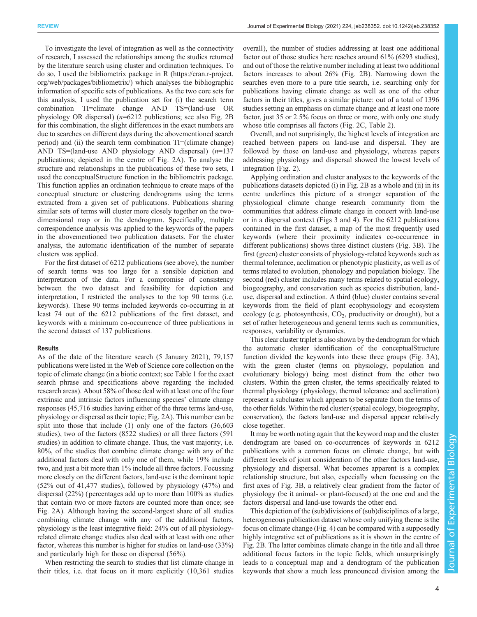To investigate the level of integration as well as the connectivity of research, I assessed the relationships among the studies returned by the literature search using cluster and ordination techniques. To do so, I used the bibliometrix package in R [\(https://cran.r-project.](https://cran.r-project.org/web/packages/bibliometrix/) [org/web/packages/bibliometrix/](https://cran.r-project.org/web/packages/bibliometrix/)) which analyses the bibliographic information of specific sets of publications. As the two core sets for this analysis, I used the publication set for (i) the search term combination TI=climate change AND TS=(land-use OR physiology OR dispersal)  $(n=6212)$  publications; see also [Fig. 2B](#page-2-0) for this combination, the slight differences in the exact numbers are due to searches on different days during the abovementioned search period) and (ii) the search term combination TI=(climate change) AND TS=(land-use AND physiology AND dispersal)  $(n=137)$ publications; depicted in the centre of [Fig. 2A](#page-2-0)). To analyse the structure and relationships in the publications of these two sets, I used the conceptualStructure function in the bibliometrix package. This function applies an ordination technique to create maps of the conceptual structure or clustering dendrograms using the terms extracted from a given set of publications. Publications sharing similar sets of terms will cluster more closely together on the twodimensional map or in the dendrogram. Specifically, multiple correspondence analysis was applied to the keywords of the papers in the abovementioned two publication datasets. For the cluster analysis, the automatic identification of the number of separate clusters was applied.

For the first dataset of 6212 publications (see above), the number of search terms was too large for a sensible depiction and interpretation of the data. For a compromise of consistency between the two dataset and feasibility for depiction and interpretation, I restricted the analyses to the top 90 terms (i.e. keywords). These 90 terms included keywords co-occurring in at least 74 out of the 6212 publications of the first dataset, and keywords with a minimum co-occurrence of three publications in the second dataset of 137 publications.

#### Results

As of the date of the literature search (5 January 2021), 79,157 publications were listed in the Web of Science core collection on the topic of climate change (in a biotic context; see [Table 1](#page-2-0) for the exact search phrase and specifications above regarding the included research areas). About 58% of those deal with at least one of the four extrinsic and intrinsic factors influencing species' climate change responses (45,716 studies having either of the three terms land-use, physiology or dispersal as their topic; [Fig. 2A](#page-2-0)). This number can be split into those that include (1) only one of the factors (36,603 studies), two of the factors (8522 studies) or all three factors (591 studies) in addition to climate change. Thus, the vast majority, i.e. 80%, of the studies that combine climate change with any of the additional factors deal with only one of them, while 19% include two, and just a bit more than 1% include all three factors. Focussing more closely on the different factors, land-use is the dominant topic (52% out of 41,477 studies), followed by physiology (47%) and dispersal (22%) ( percentages add up to more than 100% as studies that contain two or more factors are counted more than once; see [Fig. 2](#page-2-0)A). Although having the second-largest share of all studies combining climate change with any of the additional factors, physiology is the least integrative field: 24% out of all physiologyrelated climate change studies also deal with at least with one other factor, whereas this number is higher for studies on land-use (33%) and particularly high for those on dispersal (56%).

When restricting the search to studies that list climate change in their titles, i.e. that focus on it more explicitly (10,361 studies overall), the number of studies addressing at least one additional factor out of those studies here reaches around 61% (6293 studies), and out of those the relative number including at least two additional factors increases to about 26% [\(Fig. 2](#page-2-0)B). Narrowing down the searches even more to a pure title search, i.e. searching only for publications having climate change as well as one of the other factors in their titles, gives a similar picture: out of a total of 1396 studies setting an emphasis on climate change and at least one more factor, just 35 or 2.5% focus on three or more, with only one study whose title comprises all factors ([Fig. 2](#page-2-0)C, [Table 2](#page-4-0)).

Overall, and not surprisingly, the highest levels of integration are reached between papers on land-use and dispersal. They are followed by those on land-use and physiology, whereas papers addressing physiology and dispersal showed the lowest levels of integration [\(Fig. 2](#page-2-0)).

Applying ordination and cluster analyses to the keywords of the publications datasets depicted (i) in [Fig. 2](#page-2-0)B as a whole and (ii) in its centre underlines this picture of a stronger separation of the physiological climate change research community from the communities that address climate change in concert with land-use or in a dispersal context [\(Figs 3](#page-6-0) and [4\)](#page-8-0). For the 6212 publications contained in the first dataset, a map of the most frequently used keywords (where their proximity indicates co-occurrence in different publications) shows three distinct clusters ([Fig. 3B](#page-6-0)). The first (green) cluster consists of physiology-related keywords such as thermal tolerance, acclimation or phenotypic plasticity, as well as of terms related to evolution, phenology and population biology. The second (red) cluster includes many terms related to spatial ecology, biogeography, and conservation such as species distribution, landuse, dispersal and extinction. A third (blue) cluster contains several keywords from the field of plant ecophysiology and ecosystem ecology (e.g. photosynthesis,  $CO<sub>2</sub>$ , productivity or drought), but a set of rather heterogeneous and general terms such as communities, responses, variability or dynamics.

This clear cluster triplet is also shown by the dendrogram for which the automatic cluster identification of the conceptualStructure function divided the keywords into these three groups ([Fig. 3](#page-6-0)A), with the green cluster (terms on physiology, population and evolutionary biology) being most distinct from the other two clusters. Within the green cluster, the terms specifically related to thermal physiology (physiology, thermal tolerance and acclimation) represent a subcluster which appears to be separate from the terms of the other fields. Within the red cluster (spatial ecology, biogeography, conservation), the factors land-use and dispersal appear relatively close together.

It may be worth noting again that the keyword map and the cluster dendrogram are based on co-occurrences of keywords in 6212 publications with a common focus on climate change, but with different levels of joint consideration of the other factors land-use, physiology and dispersal. What becomes apparent is a complex relationship structure, but also, especially when focussing on the first axes of [Fig. 3B](#page-6-0), a relatively clear gradient from the factor of physiology (be it animal- or plant-focused) at the one end and the factors dispersal and land-use towards the other end.

This depiction of the (sub)divisions of (sub)disciplines of a large, heterogeneous publication dataset whose only unifying theme is the focus on climate change [\(Fig. 4\)](#page-8-0) can be compared with a supposedly highly integrative set of publications as it is shown in the centre of [Fig. 2B](#page-2-0). The latter combines climate change in the title and all three additional focus factors in the topic fields, which unsurprisingly leads to a conceptual map and a dendrogram of the publication keywords that show a much less pronounced division among the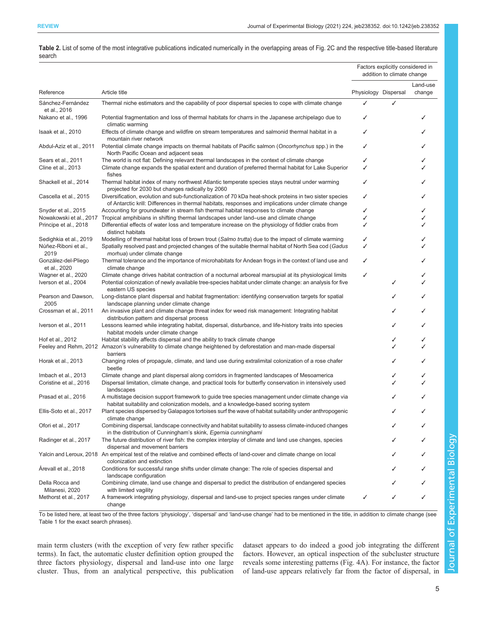<span id="page-4-0"></span>

| Table 2. List of some of the most integrative publications indicated numerically in the overlapping areas of Fig. 2C and the respective title-based literature |  |  |
|----------------------------------------------------------------------------------------------------------------------------------------------------------------|--|--|
| search                                                                                                                                                         |  |  |

|                                     |                                                                                                                                                                                                                  |                      | Factors explicitly considered in<br>addition to climate change |                    |  |
|-------------------------------------|------------------------------------------------------------------------------------------------------------------------------------------------------------------------------------------------------------------|----------------------|----------------------------------------------------------------|--------------------|--|
| Reference                           | Article title                                                                                                                                                                                                    | Physiology Dispersal |                                                                | Land-use<br>change |  |
| Sánchez-Fernández<br>et al., 2016   | Thermal niche estimators and the capability of poor dispersal species to cope with climate change                                                                                                                | ✓                    | ✓                                                              |                    |  |
| Nakano et al., 1996                 | Potential fragmentation and loss of thermal habitats for charrs in the Japanese archipelago due to<br>climatic warming                                                                                           | ✓                    |                                                                |                    |  |
| Isaak et al., 2010                  | Effects of climate change and wildfire on stream temperatures and salmonid thermal habitat in a<br>mountain river network                                                                                        | ✓                    |                                                                |                    |  |
| Abdul-Aziz et al., 2011             | Potential climate change impacts on thermal habitats of Pacific salmon (Oncorhynchus spp.) in the<br>North Pacific Ocean and adjacent seas                                                                       | ✓                    |                                                                |                    |  |
| Sears et al., 2011                  | The world is not flat: Defining relevant thermal landscapes in the context of climate change                                                                                                                     | ✓                    |                                                                |                    |  |
| Cline et al., 2013                  | Climate change expands the spatial extent and duration of preferred thermal habitat for Lake Superior<br>fishes                                                                                                  | ✓                    |                                                                |                    |  |
| Shackell et al., 2014               | Thermal habitat index of many northwest Atlantic temperate species stays neutral under warming<br>projected for 2030 but changes radically by 2060                                                               |                      |                                                                |                    |  |
| Cascella et al., 2015               | Diversification, evolution and sub-functionalization of 70 kDa heat-shock proteins in two sister species<br>of Antarctic krill: Differences in thermal habitats, responses and implications under climate change | ✓                    |                                                                |                    |  |
| Snyder et al., 2015                 | Accounting for groundwater in stream fish thermal habitat responses to climate change                                                                                                                            | ✓                    |                                                                |                    |  |
| Nowakowski et al., 2017             | Tropical amphibians in shifting thermal landscapes under land-use and climate change                                                                                                                             | ✓                    |                                                                |                    |  |
| Principe et al., 2018               | Differential effects of water loss and temperature increase on the physiology of fiddler crabs from<br>distinct habitats                                                                                         | ✓                    |                                                                |                    |  |
| Sedighkia et al., 2019              | Modelling of thermal habitat loss of brown trout (Salmo trutta) due to the impact of climate warming                                                                                                             | ✓                    |                                                                |                    |  |
| Núñez-Riboni et al.,<br>2019        | Spatially resolved past and projected changes of the suitable thermal habitat of North Sea cod (Gadus<br>morhua) under climate change                                                                            | ✓                    |                                                                |                    |  |
| González-del-Pliego<br>et al., 2020 | Thermal tolerance and the importance of microhabitats for Andean frogs in the context of land use and<br>climate change                                                                                          | ✓                    |                                                                |                    |  |
| Wagner et al., 2020                 | Climate change drives habitat contraction of a nocturnal arboreal marsupial at its physiological limits                                                                                                          | ✓                    |                                                                |                    |  |
| Iverson et al., 2004                | Potential colonization of newly available tree-species habitat under climate change: an analysis for five<br>eastern US species                                                                                  |                      | ✓                                                              |                    |  |
| Pearson and Dawson,<br>2005         | Long-distance plant dispersal and habitat fragmentation: identifying conservation targets for spatial<br>landscape planning under climate change                                                                 |                      |                                                                |                    |  |
| Crossman et al., 2011               | An invasive plant and climate change threat index for weed risk management: Integrating habitat<br>distribution pattern and dispersal process                                                                    |                      |                                                                |                    |  |
| Iverson et al., 2011                | Lessons learned while integrating habitat, dispersal, disturbance, and life-history traits into species<br>habitat models under climate change                                                                   |                      | ✓                                                              |                    |  |
| Hof et al., 2012                    | Habitat stability affects dispersal and the ability to track climate change                                                                                                                                      |                      |                                                                |                    |  |
|                                     | Feeley and Rehm, 2012 Amazon's vulnerability to climate change heightened by deforestation and man-made dispersal<br>barriers                                                                                    |                      |                                                                |                    |  |
| Horak et al., 2013                  | Changing roles of propagule, climate, and land use during extralimital colonization of a rose chafer<br>beetle                                                                                                   |                      |                                                                |                    |  |
| Imbach et al., 2013                 | Climate change and plant dispersal along corridors in fragmented landscapes of Mesoamerica                                                                                                                       |                      | ✓                                                              |                    |  |
| Coristine et al., 2016              | Dispersal limitation, climate change, and practical tools for butterfly conservation in intensively used<br>landscapes                                                                                           |                      |                                                                |                    |  |
| Prasad et al., 2016                 | A multistage decision support framework to guide tree species management under climate change via<br>habitat suitability and colonization models, and a knowledge-based scoring system                           |                      |                                                                |                    |  |
| Ellis-Soto et al., 2017             | Plant species dispersed by Galapagos tortoises surf the wave of habitat suitability under anthropogenic<br>climate change                                                                                        |                      | ✓                                                              |                    |  |
| Ofori et al., 2017                  | Combining dispersal, landscape connectivity and habitat suitability to assess climate-induced changes<br>in the distribution of Cunningham's skink, Egernia cunninghami                                          |                      |                                                                |                    |  |
| Radinger et al., 2017               | The future distribution of river fish: the complex interplay of climate and land use changes, species<br>dispersal and movement barriers                                                                         |                      |                                                                |                    |  |
|                                     | Yalcin and Leroux, 2018 An empirical test of the relative and combined effects of land-cover and climate change on local<br>colonization and extinction                                                          |                      |                                                                |                    |  |
| Arevall et al., 2018                | Conditions for successful range shifts under climate change: The role of species dispersal and<br>landscape configuration                                                                                        |                      |                                                                |                    |  |
| Della Rocca and<br>Milanesi, 2020   | Combining climate, land use change and dispersal to predict the distribution of endangered species<br>with limited vagility                                                                                      |                      |                                                                |                    |  |
| Methorst et al., 2017               | A framework integrating physiology, dispersal and land-use to project species ranges under climate<br>change                                                                                                     | ✓                    |                                                                |                    |  |

To be listed here, at least two of the three factors 'physiology', 'dispersal' and 'land-use change' had to be mentioned in the title, in addition to climate change (see [Table 1](#page-2-0) for the exact search phrases).

main term clusters (with the exception of very few rather specific terms). In fact, the automatic cluster definition option grouped the three factors physiology, dispersal and land-use into one large cluster. Thus, from an analytical perspective, this publication

dataset appears to do indeed a good job integrating the different factors. However, an optical inspection of the subcluster structure reveals some interesting patterns [\(Fig. 4A](#page-8-0)). For instance, the factor of land-use appears relatively far from the factor of dispersal, in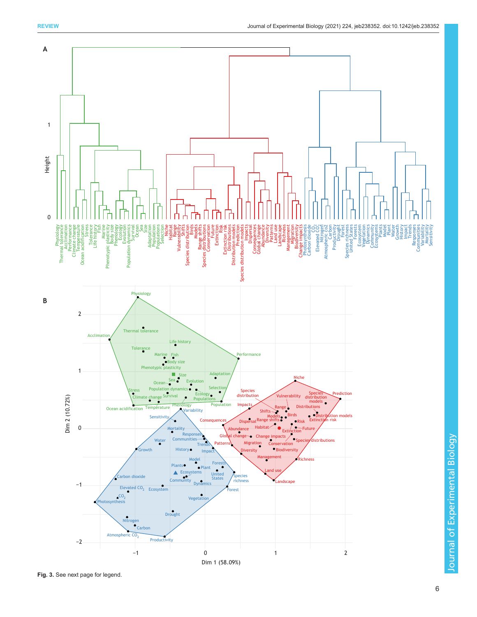

Fig. 3. See next page for legend.

Journal of Experimental Biology

Journal of Experimental Biology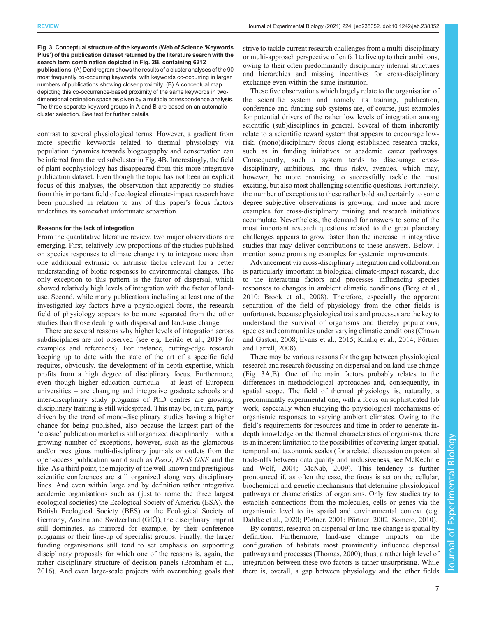<span id="page-6-0"></span>Fig. 3. Conceptual structure of the keywords (Web of Science 'Keywords Plus') of the publication dataset returned by the literature search with the search term combination depicted in [Fig. 2B](#page-2-0), containing 6212

publications. (A) Dendrogram shows the results of a cluster analyses of the 90 most frequently co-occurring keywords, with keywords co-occurring in larger numbers of publications showing closer proximity. (B) A conceptual map depicting this co-occurrence-based proximity of the same keywords in twodimensional ordination space as given by a multiple correspondence analysis. The three separate keyword groups in A and B are based on an automatic cluster selection. See text for further details.

contrast to several physiological terms. However, a gradient from more specific keywords related to thermal physiology via population dynamics towards biogeography and conservation can be inferred from the red subcluster in [Fig. 4B](#page-8-0). Interestingly, the field of plant ecophysiology has disappeared from this more integrative publication dataset. Even though the topic has not been an explicit focus of this analyses, the observation that apparently no studies from this important field of ecological climate-impact research have been published in relation to any of this paper's focus factors underlines its somewhat unfortunate separation.

#### Reasons for the lack of integration

From the quantitative literature review, two major observations are emerging. First, relatively low proportions of the studies published on species responses to climate change try to integrate more than one additional extrinsic or intrinsic factor relevant for a better understanding of biotic responses to environmental changes. The only exception to this pattern is the factor of dispersal, which showed relatively high levels of integration with the factor of landuse. Second, while many publications including at least one of the investigated key factors have a physiological focus, the research field of physiology appears to be more separated from the other studies than those dealing with dispersal and land-use change.

There are several reasons why higher levels of integration across subdisciplines are not observed (see e.g. [Leitão et al., 2019](#page-12-0) for examples and references). For instance, cutting-edge research keeping up to date with the state of the art of a specific field requires, obviously, the development of in-depth expertise, which profits from a high degree of disciplinary focus. Furthermore, even though higher education curricula – at least of European universities – are changing and integrative graduate schools and inter-disciplinary study programs of PhD centres are growing, disciplinary training is still widespread. This may be, in turn, partly driven by the trend of mono-disciplinary studies having a higher chance for being published, also because the largest part of the 'classic' publication market is still organized disciplinarily – with a growing number of exceptions, however, such as the glamorous and/or prestigious multi-disciplinary journals or outlets from the open-access publication world such as PeerJ, PLoS ONE and the like. As a third point, the majority of the well-known and prestigious scientific conferences are still organized along very disciplinary lines. And even within large and by definition rather integrative academic organisations such as ( just to name the three largest ecological societies) the Ecological Society of America (ESA), the British Ecological Society (BES) or the Ecological Society of Germany, Austria and Switzerland (GfÖ), the disciplinary imprint still dominates, as mirrored for example, by their conference programs or their line-up of specialist groups. Finally, the larger funding organisations still tend to set emphasis on supporting disciplinary proposals for which one of the reasons is, again, the rather disciplinary structure of decision panels [\(Bromham et al.,](#page-11-0) [2016](#page-11-0)). And even large-scale projects with overarching goals that

strive to tackle current research challenges from a multi-disciplinary or multi-approach perspective often fail to live up to their ambitions, owing to their often predominantly disciplinary internal structures and hierarchies and missing incentives for cross-disciplinary exchange even within the same institution.

These five observations which largely relate to the organisation of the scientific system and namely its training, publication, conference and funding sub-systems are, of course, just examples for potential drivers of the rather low levels of integration among scientific (sub)disciplines in general. Several of them inherently relate to a scientific reward system that appears to encourage lowrisk, (mono)disciplinary focus along established research tracks, such as in funding initiatives or academic career pathways. Consequently, such a system tends to discourage crossdisciplinary, ambitious, and thus risky, avenues, which may, however, be more promising to successfully tackle the most exciting, but also most challenging scientific questions. Fortunately, the number of exceptions to these rather bold and certainly to some degree subjective observations is growing, and more and more examples for cross-disciplinary training and research initiatives accumulate. Nevertheless, the demand for answers to some of the most important research questions related to the great planetary challenges appears to grow faster than the increase in integrative studies that may deliver contributions to these answers. Below, I mention some promising examples for systemic improvements.

Advancement via cross-disciplinary integration and collaboration is particularly important in biological climate-impact research, due to the interacting factors and processes influencing species responses to changes in ambient climatic conditions [\(Berg et al.,](#page-10-0) [2010;](#page-10-0) [Brook et al., 2008](#page-11-0)). Therefore, especially the apparent separation of the field of physiology from the other fields is unfortunate because physiological traits and processes are the key to understand the survival of organisms and thereby populations, species and communities under varying climatic conditions ([Chown](#page-11-0) [and Gaston, 2008](#page-11-0); [Evans et al., 2015;](#page-11-0) [Khaliq et al., 2014; Pörtner](#page-12-0) [and Farrell, 2008\)](#page-12-0).

There may be various reasons for the gap between physiological research and research focussing on dispersal and on land-use change (Fig. 3A,B). One of the main factors probably relates to the differences in methodological approaches and, consequently, in spatial scope. The field of thermal physiology is, naturally, a predominantly experimental one, with a focus on sophisticated lab work, especially when studying the physiological mechanisms of organismic responses to varying ambient climates. Owing to the field's requirements for resources and time in order to generate indepth knowledge on the thermal characteristics of organisms, there is an inherent limitation to the possibilities of covering larger spatial, temporal and taxonomic scales (for a related discussion on potential trade-offs between data quality and inclusiveness, see [McKechnie](#page-12-0) [and Wolf, 2004](#page-12-0); [McNab, 2009](#page-12-0)). This tendency is further pronounced if, as often the case, the focus is set on the cellular, biochemical and genetic mechanisms that determine physiological pathways or characteristics of organisms. Only few studies try to establish connections from the molecules, cells or genes via the organismic level to its spatial and environmental context (e.g. [Dahlke et al., 2020](#page-11-0); [Pörtner, 2001](#page-12-0); [Pörtner, 2002](#page-12-0); [Somero, 2010\)](#page-12-0).

By contrast, research on dispersal or land-use change is spatial by definition. Furthermore, land-use change impacts on the configuration of habitats most prominently influence dispersal pathways and processes ([Thomas, 2000\)](#page-12-0); thus, a rather high level of integration between these two factors is rather unsurprising. While there is, overall, a gap between physiology and the other fields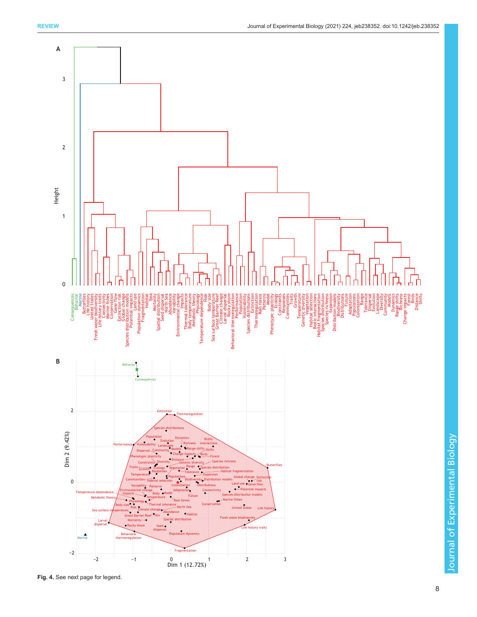

Journal of Experimental Biology

Journal of Experimental Biology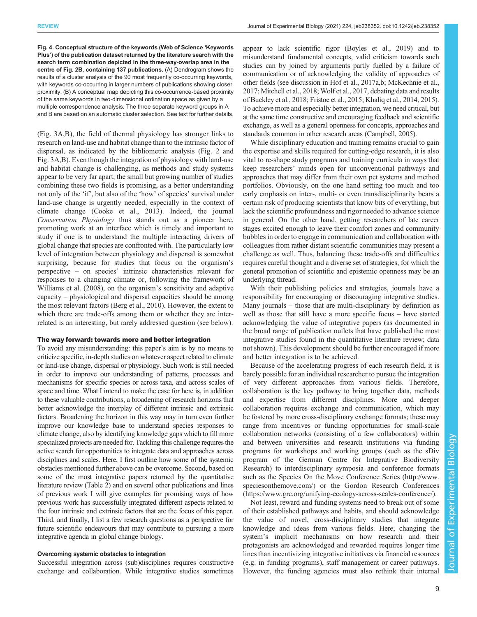<span id="page-8-0"></span>Fig. 4. Conceptual structure of the keywords (Web of Science 'Keywords Plus') of the publication dataset returned by the literature search with the search term combination depicted in the three-way-overlap area in the centre of [Fig. 2B](#page-2-0), containing 137 publications. (A) Dendrogram shows the results of a cluster analysis of the 90 most frequently co-occurring keywords, with keywords co-occurring in larger numbers of publications showing closer proximity. (B) A conceptual map depicting this co-occurrence-based proximity of the same keywords in two-dimensional ordination space as given by a multiple correspondence analysis. The three separate keyword groups in A and B are based on an automatic cluster selection. See text for further details.

[\(Fig. 3](#page-6-0)A,B), the field of thermal physiology has stronger links to research on land-use and habitat change than to the intrinsic factor of dispersal, as indicated by the bibliometric analysis ([Fig. 2](#page-2-0) and [Fig. 3](#page-6-0)A,B). Even though the integration of physiology with land-use and habitat change is challenging, as methods and study systems appear to be very far apart, the small but growing number of studies combining these two fields is promising, as a better understanding not only of the 'if', but also of the 'how' of species' survival under land-use change is urgently needed, especially in the context of climate change ([Cooke et al., 2013](#page-11-0)). Indeed, the journal Conservation Physiology thus stands out as a pioneer here, promoting work at an interface which is timely and important to study if one is to understand the multiple interacting drivers of global change that species are confronted with. The particularly low level of integration between physiology and dispersal is somewhat surprising, because for studies that focus on the organism's perspective – on species' intrinsic characteristics relevant for responses to a changing climate or, following the framework of [Williams et al. \(2008\)](#page-13-0), on the organism's sensitivity and adaptive capacity – physiological and dispersal capacities should be among the most relevant factors [\(Berg et al., 2010](#page-10-0)). However, the extent to which there are trade-offs among them or whether they are interrelated is an interesting, but rarely addressed question (see below).

#### The way forward: towards more and better integration

To avoid any misunderstanding: this paper's aim is by no means to criticize specific, in-depth studies on whatever aspect related to climate or land-use change, dispersal or physiology. Such work is still needed in order to improve our understanding of patterns, processes and mechanisms for specific species or across taxa, and across scales of space and time. What I intend to make the case for here is, in addition to these valuable contributions, a broadening of research horizons that better acknowledge the interplay of different intrinsic and extrinsic factors. Broadening the horizon in this way may in turn even further improve our knowledge base to understand species responses to climate change, also by identifying knowledge gaps which to fill more specialized projects are needed for. Tackling this challenge requires the active search for opportunities to integrate data and approaches across disciplines and scales. Here, I first outline how some of the systemic obstacles mentioned further above can be overcome. Second, based on some of the most integrative papers returned by the quantitative literature review ([Table 2](#page-4-0)) and on several other publications and lines of previous work I will give examples for promising ways of how previous work has successfully integrated different aspects related to the four intrinsic and extrinsic factors that are the focus of this paper. Third, and finally, I list a few research questions as a perspective for future scientific endeavours that may contribute to pursuing a more integrative agenda in global change biology.

#### Overcoming systemic obstacles to integration

Successful integration across (sub)disciplines requires constructive exchange and collaboration. While integrative studies sometimes appear to lack scientific rigor [\(Boyles et al., 2019](#page-10-0)) and to misunderstand fundamental concepts, valid criticism towards such studies can by joined by arguments partly fuelled by a failure of communication or of acknowledging the validity of approaches of other fields (see discussion in [Hof et al., 2017a,b](#page-11-0); [McKechnie et al.,](#page-12-0) [2017; Mitchell et al., 2018](#page-12-0); [Wolf et al., 2017](#page-13-0), debating data and results of [Buckley et al., 2018; Fristoe et al., 2015;](#page-11-0) [Khaliq et al., 2014](#page-12-0), [2015\)](#page-12-0). To achieve more and especially better integration, we need critical, but at the same time constructive and encouraging feedback and scientific exchange, as well as a general openness for concepts, approaches and standards common in other research areas [\(Campbell, 2005](#page-11-0)).

While disciplinary education and training remains crucial to gain the expertise and skills required for cutting-edge research, it is also vital to re-shape study programs and training curricula in ways that keep researchers' minds open for unconventional pathways and approaches that may differ from their own pet systems and method portfolios. Obviously, on the one hand setting too much and too early emphasis on inter-, multi- or even transdisciplinarity bears a certain risk of producing scientists that know bits of everything, but lack the scientific profoundness and rigor needed to advance science in general. On the other hand, getting researchers of late career stages excited enough to leave their comfort zones and community bubbles in order to engage in communication and collaboration with colleagues from rather distant scientific communities may present a challenge as well. Thus, balancing these trade-offs and difficulties requires careful thought and a diverse set of strategies, for which the general promotion of scientific and epistemic openness may be an underlying thread.

With their publishing policies and strategies, journals have a responsibility for encouraging or discouraging integrative studies. Many journals – those that are multi-disciplinary by definition as well as those that still have a more specific focus – have started acknowledging the value of integrative papers (as documented in the broad range of publication outlets that have published the most integrative studies found in the quantitative literature review; data not shown). This development should be further encouraged if more and better integration is to be achieved.

Because of the accelerating progress of each research field, it is barely possible for an individual researcher to pursue the integration of very different approaches from various fields. Therefore, collaboration is the key pathway to bring together data, methods and expertise from different disciplines. More and deeper collaboration requires exchange and communication, which may be fostered by more cross-disciplinary exchange formats; these may range from incentives or funding opportunities for small-scale collaboration networks (consisting of a few collaborators) within and between universities and research institutions via funding programs for workshops and working groups (such as the sDiv program of the German Centre for Integrative Biodiversity Research) to interdisciplinary symposia and conference formats such as the Species On the Move Conference Series ([http://www.](http://www.speciesonthemove.com/) [speciesonthemove.com/](http://www.speciesonthemove.com/)) or the Gordon Research Conferences [\(https://www.grc.org/unifying-ecology-across-scales-conference/\)](https://www.grc.org/unifying-ecology-across-scales-conference/).

Not least, reward and funding systems need to break out of some of their established pathways and habits, and should acknowledge the value of novel, cross-disciplinary studies that integrate knowledge and ideas from various fields. Here, changing the system's implicit mechanisms on how research and their protagonists are acknowledged and rewarded requires longer time lines than incentivizing integrative initiatives via financial resources (e.g. in funding programs), staff management or career pathways. However, the funding agencies must also rethink their internal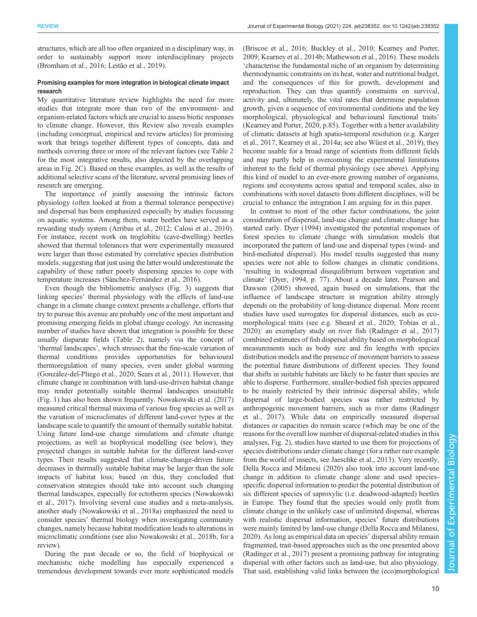structures, which are all too often organized in a disciplinary way, in order to sustainably support more interdisciplinary projects [\(Bromham et al., 2016;](#page-11-0) [Leitão et al., 2019](#page-12-0)).

#### Promising examples for more integration in biological climate impact research

My quantitative literature review highlights the need for more studies that integrate more than two of the environment- and organism-related factors which are crucial to assess biotic responses to climate change. However, this Review also reveals examples (including conceptual, empirical and review articles) for promising work that brings together different types of concepts, data and methods covering three or more of the relevant factors (see [Table 2](#page-4-0) for the most integrative results, also depicted by the overlapping areas in [Fig. 2C](#page-2-0)). Based on these examples, as well as the results of additional selective scans of the literature, several promising lines of research are emerging.

The importance of jointly assessing the intrinsic factors physiology (often looked at from a thermal tolerance perspective) and dispersal has been emphasized especially by studies focussing on aquatic systems. Among them, water beetles have served as a rewarding study system ([Arribas et al., 2012](#page-10-0); [Calosi et al., 2010\)](#page-11-0). For instance, recent work on troglobitic (cave-dwelling) beetles showed that thermal tolerances that were experimentally measured were larger than those estimated by correlative species distribution models, suggesting that just using the latter would underestimate the capability of these rather poorly dispersing species to cope with temperature increases ([Sánchez-Fernández et al., 2016\)](#page-12-0).

Even though the bibliometric analyses [\(Fig. 3](#page-6-0)) suggests that linking species' thermal physiology with the effects of land-use change in a climate change context presents a challenge, efforts that try to pursue this avenue are probably one of the most important and promising emerging fields in global change ecology. An increasing number of studies have shown that integration is possible for these usually disparate fields ([Table 2](#page-4-0)), namely via the concept of 'thermal landscapes', which stresses that the fine-scale variation of thermal conditions provides opportunities for behavioural thermoregulation of many species, even under global warming [\(González-del-Pliego et al., 2020;](#page-11-0) [Sears et al., 2011](#page-12-0)). However, that climate change in combination with land-use-driven habitat change may render potentially suitable thermal landscapes unsuitable [\(Fig. 1](#page-1-0)) has also been shown frequently. [Nowakowski et al. \(2017\)](#page-12-0) measured critical thermal maxima of various frog species as well as the variation of microclimates of different land-cover types at the landscape scale to quantify the amount of thermally suitable habitat. Using future land-use change simulations and climate change projections, as well as biophysical modelling (see below), they projected changes in suitable habitat for the different land-cover types. Their results suggested that climate-change-driven future decreases in thermally suitable habitat may be larger than the sole impacts of habitat loss; based on this, they concluded that conservation strategies should take into account such changing thermal landscapes, especially for ectotherm species ([Nowakowski](#page-12-0) [et al., 2017\)](#page-12-0). Involving several case studies and a meta-analysis, another study [\(Nowakowski et al., 2018a](#page-12-0)) emphasized the need to consider species' thermal biology when investigating community changes, namely because habitat modification leads to alterations in microclimatic conditions (see also [Nowakowski et al., 2018b,](#page-12-0) for a review).

During the past decade or so, the field of biophysical or mechanistic niche modelling has especially experienced a tremendous development towards ever more sophisticated models [\(Briscoe et al., 2016;](#page-10-0) [Buckley et al., 2010](#page-11-0); [Kearney and Porter,](#page-12-0) [2009; Kearney et al., 2014b](#page-12-0); [Mathewson et al., 2016](#page-12-0)). These models 'characterise the fundamental niche of an organism by determining thermodynamic constraints on its heat, water and nutritional budget, and the consequences of this for growth, development and reproduction. They can thus quantify constraints on survival, activity and, ultimately, the vital rates that determine population growth, given a sequence of environmental conditions and the key morphological, physiological and behavioural functional traits' [\(Kearney and Porter, 2020](#page-12-0), p.85). Together with a better availability of climatic datasets at high spatio-temporal resolution (e.g. [Karger](#page-11-0) [et al., 2017](#page-11-0); [Kearney et al., 2014a](#page-12-0); see also [Wüest et al., 2019](#page-13-0)), they become usable for a broad range of scientists from different fields and may partly help in overcoming the experimental limitations inherent to the field of thermal physiology (see above). Applying this kind of model to an ever-more growing number of organisms, regions and ecosystems across spatial and temporal scales, also in combinations with novel datasets from different disciplines, will be crucial to enhance the integration I am arguing for in this paper.

In contrast to most of the other factor combinations, the joint consideration of dispersal, land-use change and climate change has started early. [Dyer \(1994\)](#page-11-0) investigated the potential responses of forest species to climate change with simulation models that incorporated the pattern of land-use and dispersal types (wind- and bird-mediated dispersal). His model results suggested that many species were not able to follow changes in climatic conditions, 'resulting in widespread disequilibrium between vegetation and climate' [\(Dyer, 1994,](#page-11-0) p. 77). About a decade later, [Pearson and](#page-12-0) [Dawson \(2005\)](#page-12-0) showed, again based on simulations, that the influence of landscape structure in migration ability strongly depends on the probability of long-distance dispersal. More recent studies have used surrogates for dispersal distances, such as ecomorphological traits (see e.g. [Sheard et al., 2020;](#page-12-0) [Tobias et al.,](#page-13-0) [2020\)](#page-13-0): an exemplary study on river fish [\(Radinger et al., 2017\)](#page-12-0) combined estimates of fish dispersal ability based on morphological measurements such as body size and fin lengths with species distribution models and the presence of movement barriers to assess the potential future distributions of different species. They found that shifts in suitable habitats are likely to be faster than species are able to disperse. Furthermore, smaller-bodied fish species appeared to be mainly restricted by their intrinsic dispersal ability, while dispersal of large-bodied species was rather restricted by anthropogenic movement barriers, such as river dams [\(Radinger](#page-12-0) [et al., 2017\)](#page-12-0). While data on empirically measured dispersal distances or capacities do remain scarce (which may be one of the reasons for the overall low number of dispersal-related studies in this analyses, [Fig. 2](#page-2-0)), studies have started to use them for projections of species distributions under climate change (for a rather rare example from the world of insects, see [Jaeschke et al., 2013\)](#page-11-0). Very recently, [Della Rocca and Milanesi \(2020\)](#page-11-0) also took into account land-use change in addition to climate change alone and used speciesspecific dispersal information to predict the potential distribution of six different species of saproxylic (i.e. deadwood-adapted) beetles in Europe. They found that the species would only profit from climate change in the unlikely case of unlimited dispersal, whereas with realistic dispersal information, species' future distributions were mainly limited by land-use change ([Della Rocca and Milanesi,](#page-11-0) [2020\)](#page-11-0). As long as empirical data on species' dispersal ability remain fragmented, trait-based approaches such as the one presented above [\(Radinger et al., 2017](#page-12-0)) present a promising pathway for integrating dispersal with other factors such as land-use, but also physiology. That said, establishing valid links between the (eco)morphological

Biology

Experimental

10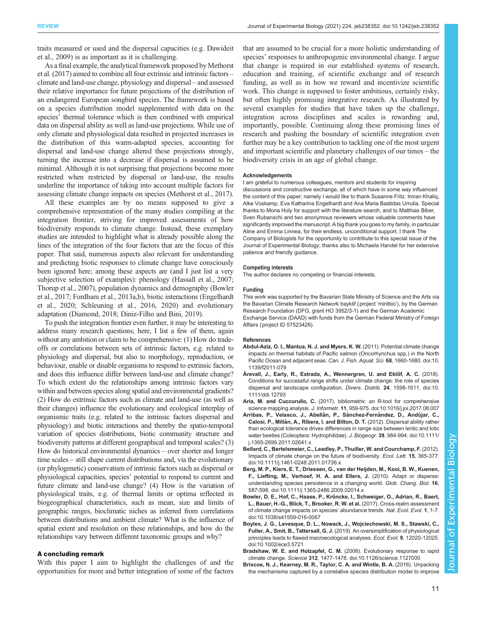<span id="page-10-0"></span>traits measured or used and the dispersal capacities (e.g. [Dawideit](#page-11-0) [et al., 2009\)](#page-11-0) is as important as it is challenging.

As a final example, the analytical framework proposed by [Methorst](#page-12-0) [et al. \(2017\)](#page-12-0) aimed to combine all four extrinsic and intrinsic factors – climate and land-use change, physiology and dispersal – and assessed their relative importance for future projections of the distribution of an endangered European songbird species. The framework is based on a species distribution model supplemented with data on the species' thermal tolerance which is then combined with empirical data on dispersal ability as well as land-use projections. While use of only climate and physiological data resulted in projected increases in the distribution of this warm-adapted species, accounting for dispersal and land-use change altered these projections strongly, turning the increase into a decrease if dispersal is assumed to be minimal. Although it is not surprising that projections become more restricted when restricted by dispersal or land-use, the results underline the importance of taking into account multiple factors for assessing climate change impacts on species ([Methorst et al., 2017\)](#page-12-0).

All these examples are by no means supposed to give a comprehensive representation of the many studies compiling at the integration frontier, striving for improved assessments of how biodiversity responds to climate change. Instead, these exemplary studies are intended to highlight what is already possible along the lines of the integration of the four factors that are the focus of this paper. That said, numerous aspects also relevant for understanding and predicting biotic responses to climate change have consciously been ignored here; among these aspects are (and I just list a very subjective selection of examples): phenology [\(Hassall et al., 2007](#page-11-0); [Thorup et al., 2007\)](#page-12-0), population dynamics and demography (Bowler et al., 2017; [Fordham et al., 2013a](#page-11-0),[b](#page-11-0)), biotic interactions ([Engelhardt](#page-11-0) [et al., 2020;](#page-11-0) [Schleuning et al., 2016](#page-12-0), [2020\)](#page-12-0) and evolutionary adaptation ([Diamond, 2018; Diniz-Filho and Bini, 2019](#page-11-0)).

To push the integration frontier even further, it may be interesting to address many research questions; here, I list a few of them, again without any ambition or claim to be comprehensive: (1) How do tradeoffs or correlations between sets of intrinsic factors, e.g. related to physiology and dispersal, but also to morphology, reproduction, or behaviour, enable or disable organisms to respond to extrinsic factors, and does this influence differ between land-use and climate change? To which extent do the relationships among intrinsic factors vary within and between species along spatial and environmental gradients? (2) How do extrinsic factors such as climate and land-use (as well as their changes) influence the evolutionary and ecological interplay of organismic traits (e.g. related to the intrinsic factors dispersal and physiology) and biotic interactions and thereby the spatio-temporal variation of species distributions, biotic community structure and biodiversity patterns at different geographical and temporal scales? (3) How do historical environmental dynamics – over shorter and longer time scales – still shape current distributions and, via the evolutionary (or phylogenetic) conservatism of intrinsic factors such as dispersal or physiological capacities, species' potential to respond to current and future climate and land-use change? (4) How is the variation of physiological traits, e.g. of thermal limits or optima reflected in biogeographical characteristics, such as mean, size and limits of geographic ranges, bioclimatic niches as inferred from correlations between distributions and ambient climate? What is the influence of spatial extent and resolution on these relationships, and how do the relationships vary between different taxonomic groups and why?

#### A concluding remark

With this paper I aim to highlight the challenges of and the opportunities for more and better integration of some of the factors

that are assumed to be crucial for a more holistic understanding of species' responses to anthropogenic environmental change. I argue that change is required in our established systems of research, education and training, of scientific exchange and of research funding, as well as in how we reward and incentivize scientific work. This change is supposed to foster ambitious, certainly risky, but often highly promising integrative research. As illustrated by several examples for studies that have taken up the challenge, integration across disciplines and scales is rewarding and, importantly, possible. Continuing along these promising lines of research and pushing the boundary of scientific integration even further may be a key contribution to tackling one of the most urgent and important scientific and planetary challenges of our times – the biodiversity crisis in an age of global change.

#### Acknowledgements

I am grateful to numerous colleagues, mentors and students for inspiring discussions and constructive exchange, all of which have in some way influenced the content of this paper; namely I would like to thank Susanne Fritz, Imran Khaliq, Alke Voskamp, Eva Katharina Engelhardt and Ana Maria Bastidas Urrutia. Special thanks to Mona Holy for support with the literature search, and to Matthias Biber, Sven Rubanschi and two anonymous reviewers whose valuable comments have significantly improved the manuscript. A big thank you goes to my family, in particular Aline and Emma Linnea, for their endless, unconditional support. I thank The Company of Biologists for the opportunity to contribute to this special issue of the Journal of Experimental Biology; thanks also to Michaela Handel for her extensive patience and friendly guidance.

#### Competing interests

The author declares no competing or financial interests.

#### Funding

This work was supported by the Bavarian State Ministry of Science and the Arts via the Bavarian Climate Research Network bayklif (project 'mintbio'), by the German Research Foundation (DFG, grant HO 3952/3-1) and the German Academic Exchange Service (DAAD) with funds from the German Federal Ministry of Foreign Affairs (project ID 57523426).

#### References

- [Abdul-Aziz, O. I., Mantua, N. J. and Myers, K. W.](https://doi.org/10.1139/f2011-079) (2011). Potential climate change [impacts on thermal habitats of Pacific salmon \(Oncorhynchus spp.\) in the North](https://doi.org/10.1139/f2011-079) [Pacific Ocean and adjacent seas.](https://doi.org/10.1139/f2011-079) Can. J. Fish. Aquat. Sci. 68, 1660-1680. doi:10. [1139/f2011-079](https://doi.org/10.1139/f2011-079)
- Årevall, J., Early, R., Estrada, A., Wennergren, U. and Eklöf, A. C. (2018). [Conditions for successful range shifts under climate change: the role of species](https://doi.org/10.1111/ddi.12793) [dispersal and landscape configuration.](https://doi.org/10.1111/ddi.12793) Divers. Distrib. 24, 1598-1611. doi:10. [1111/ddi.12793](https://doi.org/10.1111/ddi.12793)
- Aria, M. and Cuccurullo, C. [\(2017\). bibliometrix: an R-tool for comprehensive](https://doi.org/10.1016/j.joi.2017.08.007) science mapping analysis. J. Informetr. 11[, 959-975. doi:10.1016/j.joi.2017.08.007](https://doi.org/10.1016/j.joi.2017.08.007)
- Arribas, P., Velasco, J., Abellán, P., Sánchez-Fernández, D., Andújar, C., Calosi, P., Millá[n, A., Ribera, I. and Bilton, D. T.](https://doi.org/10.1111/j.1365-2699.2011.02641.x) (2012). Dispersal ability rather [than ecological tolerance drives differences in range size between lentic and lotic](https://doi.org/10.1111/j.1365-2699.2011.02641.x) [water beetles \(Coleoptera: Hydrophilidae\).](https://doi.org/10.1111/j.1365-2699.2011.02641.x) J. Biogeogr. 39, 984-994. doi:10.1111/ [j.1365-2699.2011.02641.x](https://doi.org/10.1111/j.1365-2699.2011.02641.x)
- [Bellard, C., Bertelsmeier, C., Leadley, P., Thuiller, W. and Courchamp, F.](https://doi.org/10.1111/j.1461-0248.2011.01736.x) (2012). [Impacts of climate change on the future of biodiversity.](https://doi.org/10.1111/j.1461-0248.2011.01736.x) Ecol. Lett. 15, 365-377. [doi:10.1111/j.1461-0248.2011.01736.x](https://doi.org/10.1111/j.1461-0248.2011.01736.x)
- [Berg, M. P., Kiers, E. T., Driessen, G., van der Heijden, M., Kooi, B. W., Kuenen,](https://doi.org/10.1111/j.1365-2486.2009.02014.x) [F., Liefting, M., Verhoef, H. A. and Ellers, J.](https://doi.org/10.1111/j.1365-2486.2009.02014.x) (2010). Adapt or disperse: [understanding species persistence in a changing world.](https://doi.org/10.1111/j.1365-2486.2009.02014.x) Glob. Chang. Biol. 16, [587-598. doi:10.1111/j.1365-2486.2009.02014.x](https://doi.org/10.1111/j.1365-2486.2009.02014.x)
- Bowler, D. E., Hof, C., Haase, P., Krö[ncke, I., Schweiger, O., Adrian, R., Baert,](https://doi.org/10.1038/s41559-016-0067) [L., Bauer, H.-G., Blick, T., Brooker, R. W. et al.](https://doi.org/10.1038/s41559-016-0067) (2017). Cross-realm assessment [of climate change impacts on species](https://doi.org/10.1038/s41559-016-0067)' abundance trends. Nat. Ecol. Evol. 1, 1-7. [doi:10.1038/s41559-016-0067](https://doi.org/10.1038/s41559-016-0067)
- [Boyles, J. G., Levesque, D. L., Nowack, J., Wojciechowski, M. S., Stawski, C.,](https://doi.org/10.1002/ece3.5721) Fuller, A., Smit, B., Tattersall, G. J. [\(2019\). An oversimplification of physiological](https://doi.org/10.1002/ece3.5721) [principles leads to flawed macroecological analyses.](https://doi.org/10.1002/ece3.5721) Ecol. Evol. 9, 12020-12025. [doi:10.1002/ece3.5721](https://doi.org/10.1002/ece3.5721)
- [Bradshaw, W. E. and Holzapfel, C. M.](https://doi.org/10.1126/science.1127000) (2006). Evolutionary response to rapid climate change. Science 312[, 1477-1478. doi:10.1126/science.1127000](https://doi.org/10.1126/science.1127000)
- [Briscoe, N. J., Kearney, M. R., Taylor, C. A. and Wintle, B. A.](https://doi.org/10.1111/gcb.13280) (2016). Unpacking [the mechanisms captured by a correlative species distribution model to improve](https://doi.org/10.1111/gcb.13280)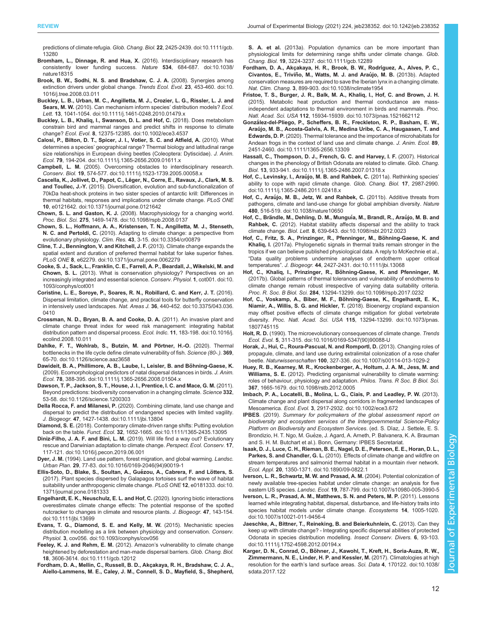<span id="page-11-0"></span>predictions of climate refugia. Glob. Chang. Biol. 22[, 2425-2439. doi:10.1111/gcb.](https://doi.org/10.1111/gcb.13280) [13280](https://doi.org/10.1111/gcb.13280)

- [Bromham, L., Dinnage, R. and Hua, X.](https://doi.org/10.1038/nature18315) (2016). Interdisciplinary research has [consistently lower funding success.](https://doi.org/10.1038/nature18315) Nature 534, 684-687. doi:10.1038/ [nature18315](https://doi.org/10.1038/nature18315)
- [Brook, B. W., Sodhi, N. S. and Bradshaw, C. J. A.](https://doi.org/10.1016/j.tree.2008.03.011) (2008). Synergies among [extinction drivers under global change.](https://doi.org/10.1016/j.tree.2008.03.011) Trends Ecol. Evol. 23, 453-460. doi:10. [1016/j.tree.2008.03.011](https://doi.org/10.1016/j.tree.2008.03.011)
- [Buckley, L. B., Urban, M. C., Angilletta, M. J., Crozier, L. G., Rissler, L. J. and](https://doi.org/10.1111/j.1461-0248.2010.01479.x) Sears, M. W. [\(2010\). Can mechanism inform species](https://doi.org/10.1111/j.1461-0248.2010.01479.x)' distribution models? Ecol. Lett. 13[, 1041-1054. doi:10.1111/j.1461-0248.2010.01479.x](https://doi.org/10.1111/j.1461-0248.2010.01479.x)
- [Buckley, L. B., Khaliq, I., Swanson, D. L. and Hof, C.](https://doi.org/10.1002/ece3.4537) (2018). Does metabolism [constrain bird and mammal ranges and predict shifts in response to climate](https://doi.org/10.1002/ece3.4537) change? Ecol. Evol. 8[, 12375-12385. doi:10.1002/ece3.4537](https://doi.org/10.1002/ece3.4537)
- [Calosi, P., Bilton, D. T., Spicer, J. I., Votier, S. C. and Atfield, A.](https://doi.org/10.1111/j.1365-2656.2009.01611.x) (2010). What determines a species' [geographical range? Thermal biology and latitudinal range](https://doi.org/10.1111/j.1365-2656.2009.01611.x) [size relationships in European diving beetles \(Coleoptera: Dytiscidae\).](https://doi.org/10.1111/j.1365-2656.2009.01611.x) J. Anim. Ecol. 79[, 194-204. doi:10.1111/j.1365-2656.2009.01611.x](https://doi.org/10.1111/j.1365-2656.2009.01611.x)
- Campbell, L. M. [\(2005\). Overcoming obstacles to interdisciplinary research.](https://doi.org/10.1111/j.1523-1739.2005.00058.x) Conserv. Biol. 19[, 574-577. doi:10.1111/j.1523-1739.2005.00058.x](https://doi.org/10.1111/j.1523-1739.2005.00058.x)
- Cascella, K., Jollivet, D., Papot, C., Lé[ger, N., Corre, E., Ravaux, J., Clark, M. S.](https://doi.org/10.1371/journal.pone.0121642) and Toullec, J.-Y. [\(2015\). Diversification, evolution and sub-functionalization of](https://doi.org/10.1371/journal.pone.0121642) [70kDa heat-shock proteins in two sister species of antarctic krill: Differences in](https://doi.org/10.1371/journal.pone.0121642) [thermal habitats, responses and implications under climate change.](https://doi.org/10.1371/journal.pone.0121642) PLoS ONE 10[, e0121642. doi:10.1371/journal.pone.0121642](https://doi.org/10.1371/journal.pone.0121642)
- Chown, S. L. and Gaston, K. J. [\(2008\). Macrophysiology for a changing world.](https://doi.org/10.1098/rspb.2008.0137) Proc. Biol. Sci. 275[, 1469-1478. doi:10.1098/rspb.2008.0137](https://doi.org/10.1098/rspb.2008.0137)
- [Chown, S. L., Hoffmann, A. A., Kristensen, T. N., Angilletta, M. J., Stenseth,](https://doi.org/10.3354/cr00879) N. C. and Pertoldi, C. [\(2010\). Adapting to climate change: a perspective from](https://doi.org/10.3354/cr00879) evolutionary physiology. Clim. Res. 43[, 3-15. doi:10.3354/cr00879](https://doi.org/10.3354/cr00879)
- [Cline, T. J., Bennington, V. and Kitchell, J. F.](https://doi.org/10.1371/journal.pone.0062279) (2013). Climate change expands the [spatial extent and duration of preferred thermal habitat for lake superior fishes.](https://doi.org/10.1371/journal.pone.0062279) PLoS ONE 8[, e62279. doi:10.1371/journal.pone.0062279](https://doi.org/10.1371/journal.pone.0062279)
- [Cooke, S. J., Sack, L., Franklin, C. E., Farrell, A. P., Beardall, J., Wikelski, M. and](https://doi.org/10.1093/conphys/cot001) Chown, S. L. [\(2013\). What is conservation physiology? Perspectives on an](https://doi.org/10.1093/conphys/cot001) [increasingly integrated and essential science.](https://doi.org/10.1093/conphys/cot001) Conserv. Physiol. 1, cot001. doi:10. [1093/conphys/cot001](https://doi.org/10.1093/conphys/cot001)
- [Coristine, L. E., Soroye, P., Soares, R. N., Robillard, C. and Kerr, J. T.](https://doi.org/10.3375/043.036.0410) (2016). [Dispersal limitation, climate change, and practical tools for butterfly conservation](https://doi.org/10.3375/043.036.0410) in intensively used landscapes. Nat. Areas J. 36[, 440-452. doi:10.3375/043.036.](https://doi.org/10.3375/043.036.0410) [0410](https://doi.org/10.3375/043.036.0410)
- [Crossman, N. D., Bryan, B. A. and Cooke, D. A.](https://doi.org/10.1016/j.ecolind.2008.10.011) (2011). An invasive plant and [climate change threat index for weed risk management: integrating habitat](https://doi.org/10.1016/j.ecolind.2008.10.011) [distribution pattern and dispersal process.](https://doi.org/10.1016/j.ecolind.2008.10.011) Ecol. Indic. 11, 183-198. doi:10.1016/j. [ecolind.2008.10.011](https://doi.org/10.1016/j.ecolind.2008.10.011)
- Dahlke, F. T., Wohlrab, S., Butzin, M. and Pörtner, H.-O. (2020). Thermal [bottlenecks in the life cycle define climate vulnerability of fish.](https://doi.org/10.1126/science.aaz3658) Science (80-.). 369, [65-70. doi:10.1126/science.aaz3658](https://doi.org/10.1126/science.aaz3658)
- Dawideit, B. A., Phillimore, A. B., Laube, I., Leisler, B. and Böhning-Gaese, K. [\(2009\). Ecomorphological predictors of natal dispersal distances in birds.](https://doi.org/10.1111/j.1365-2656.2008.01504.x) J. Anim. Ecol. 78[, 388-395. doi:10.1111/j.1365-2656.2008.01504.x](https://doi.org/10.1111/j.1365-2656.2008.01504.x)
- [Dawson, T. P., Jackson, S. T., House, J. I., Prentice, I. C. and Mace, G. M.](https://doi.org/10.1126/science.1200303) (2011). [Beyond predictions: biodiversity conservation in a changing climate.](https://doi.org/10.1126/science.1200303) Science 332, [53-58. doi:10.1126/science.1200303](https://doi.org/10.1126/science.1200303)
- Della Rocca, F. and Milanesi, P. [\(2020\). Combining climate, land use change and](https://doi.org/10.1111/jbi.13804) [dispersal to predict the distribution of endangered species with limited vagility.](https://doi.org/10.1111/jbi.13804) J. Biogeogr. 47[, 1427-1438. doi:10.1111/jbi.13804](https://doi.org/10.1111/jbi.13804)
- Diamond, S. E. [\(2018\). Contemporary climate-driven range shifts: Putting evolution](https://doi.org/10.1111/1365-2435.13095) back on the table. Funct. Ecol. 32[, 1652-1665. doi:10.1111/1365-2435.13095](https://doi.org/10.1111/1365-2435.13095)
- Diniz-Filho, J. A. F. and Bini, L. M. [\(2019\). Will life find a way out? Evolutionary](https://doi.org/10.1016/j.pecon.2019.06.001) [rescue and Darwinian adaptation to climate change.](https://doi.org/10.1016/j.pecon.2019.06.001) Perspect. Ecol. Conserv. 17, [117-121. doi:10.1016/j.pecon.2019.06.001](https://doi.org/10.1016/j.pecon.2019.06.001)
- Dyer, J. M. [\(1994\). Land use pattern, forest migration, and global warming.](https://doi.org/10.1016/0169-2046(94)90019-1) Landsc. Urban Plan. 29[, 77-83. doi:10.1016/0169-2046\(94\)90019-1](https://doi.org/10.1016/0169-2046(94)90019-1)
- Ellis-Soto, D., Blake, S., Soultan, A., Guézou, A., Cabrera, F. and Lötters, S. [\(2017\). Plant species dispersed by Galapagos tortoises surf the wave of habitat](https://doi.org/10.1371/journal.pone.0181333) [suitability under anthropogenic climate change.](https://doi.org/10.1371/journal.pone.0181333) PLoS ONE 12, e0181333. doi:10. [1371/journal.pone.0181333](https://doi.org/10.1371/journal.pone.0181333)
- [Engelhardt, E. K., Neuschulz, E. L. and Hof, C.](https://doi.org/10.1111/jbi.13699) (2020). Ignoring biotic interactions [overestimates climate change effects: The potential response of the spotted](https://doi.org/10.1111/jbi.13699) [nutcracker to changes in climate and resource plants.](https://doi.org/10.1111/jbi.13699) J. Biogeogr. 47, 143-154. [doi:10.1111/jbi.13699](https://doi.org/10.1111/jbi.13699)
- [Evans, T. G., Diamond, S. E. and Kelly, M. W.](https://doi.org/10.1093/conphys/cov056) (2015). Mechanistic species [distribution modelling as a link between physiology and conservation.](https://doi.org/10.1093/conphys/cov056) Conserv. Physiol. 3[, cov056. doi:10.1093/conphys/cov056](https://doi.org/10.1093/conphys/cov056)
- Feeley, K. J. and Rehm, E. M. (2012). Amazon'[s vulnerability to climate change](https://doi.org/10.1111/gcb.12012) [heightened by deforestation and man-made dispersal barriers.](https://doi.org/10.1111/gcb.12012) Glob. Chang. Biol. 18[, 3606-3614. doi:10.1111/gcb.12012](https://doi.org/10.1111/gcb.12012)
- [Fordham, D. A., Mellin, C., Russell, B. D., Akçakaya, R. H., Bradshaw, C. J. A.,](https://doi.org/10.1111/gcb.12289) [Aiello-Lammens, M. E., Caley, J. M., Connell, S. D., Mayfield, S., Shepherd,](https://doi.org/10.1111/gcb.12289)

S. A. et al. [\(2013a\). Population dynamics can be more important than](https://doi.org/10.1111/gcb.12289) [physiological limits for determining range shifts under climate change.](https://doi.org/10.1111/gcb.12289) Glob. Chang. Biol. 19[, 3224-3237. doi:10.1111/gcb.12289](https://doi.org/10.1111/gcb.12289)

- [Fordham, D. A., Akçakaya, H. R., Brook, B. W., Rodr](https://doi.org/10.1038/nclimate1954)íguez, A., Alves, P. C., Civantos, E., Triviño, M., Watts, M. J. and Araújo, M. B. (2013b). Adapted [conservation measures are required to save the Iberian lynx in a changing climate.](https://doi.org/10.1038/nclimate1954) Nat. Clim. Chang. 3[, 899-903. doi:10.1038/nclimate1954](https://doi.org/10.1038/nclimate1954)
- [Fristoe, T. S., Burger, J. R., Balk, M. A., Khaliq, I., Hof, C. and Brown, J. H.](https://doi.org/10.1073/pnas.1521662112) [\(2015\). Metabolic heat production and thermal conductance are mass](https://doi.org/10.1073/pnas.1521662112)[independent adaptations to thermal environment in birds and mammals.](https://doi.org/10.1073/pnas.1521662112) Proc. Natl. Acad. Sci. USA 112[, 15934-15939. doi:10.1073/pnas.1521662112](https://doi.org/10.1073/pnas.1521662112)
- Gonzá[lez-del-Pliego, P., Scheffers, B. R., Freckleton, R. P., Basham, E. W.,](https://doi.org/10.1111/1365-2656.13309) Araú[jo, M. B., Acosta-Galvis, A. R., Medina Uribe, C. A., Haugaasen, T. and](https://doi.org/10.1111/1365-2656.13309) Edwards, D. P. [\(2020\). Thermal tolerance and the importance of microhabitats for](https://doi.org/10.1111/1365-2656.13309) [Andean frogs in the context of land use and climate change.](https://doi.org/10.1111/1365-2656.13309) J. Anim. Ecol. 89, [2451-2460. doi:10.1111/1365-2656.13309](https://doi.org/10.1111/1365-2656.13309)
- [Hassall, C., Thompson, D. J., French, G. C. and Harvey, I. F.](https://doi.org/10.1111/j.1365-2486.2007.01318.x) (2007). Historical [changes in the phenology of British Odonata are related to climate.](https://doi.org/10.1111/j.1365-2486.2007.01318.x) Glob. Chang. Biol. 13[, 933-941. doi:10.1111/j.1365-2486.2007.01318.x](https://doi.org/10.1111/j.1365-2486.2007.01318.x)
- Hof, C., Levinsky, I., Araújo, M. B. and Rahbek, C. [\(2011a\). Rethinking species](https://doi.org/10.1111/j.1365-2486.2011.02418.x)' [ability to cope with rapid climate change.](https://doi.org/10.1111/j.1365-2486.2011.02418.x) Glob. Chang. Biol. 17, 2987-2990. [doi:10.1111/j.1365-2486.2011.02418.x](https://doi.org/10.1111/j.1365-2486.2011.02418.x)
- Hof, C., Araú[jo, M. B., Jetz, W. and Rahbek, C.](https://doi.org/10.1038/nature10650) (2011b). Additive threats from [pathogens, climate and land-use change for global amphibian diversity.](https://doi.org/10.1038/nature10650) Nature 480[, 516-519. doi:10.1038/nature10650](https://doi.org/10.1038/nature10650)
- Hof, C., Brä[ndle, M., Dehling, D. M., Mungu](https://doi.org/10.1098/rsbl.2012.0023)ía, M., Brandl, R., Araújo, M. B. and Rahbek, C. [\(2012\). Habitat stability affects dispersal and the ability to track](https://doi.org/10.1098/rsbl.2012.0023) climate change. Biol. Lett. 8[, 639-643. doi:10.1098/rsbl.2012.0023](https://doi.org/10.1098/rsbl.2012.0023)
- Hof, C., Fritz, S. A., Prinzinger, R., Pfenninger, M., Böhning-Gaese, K. and Khaliq, I. [\(2017a\). Phylogenetic signals in thermal traits remain stronger in the](https://doi.org/10.1111/jbi.13068) [tropics if we can believe published physiological data. A reply to McKechnie et al.,](https://doi.org/10.1111/jbi.13068) "[Data quality problems undermine analyses of endotherm upper critical](https://doi.org/10.1111/jbi.13068) temperatures". J. Biogeogr. 44[, 2427-2431. doi:10.1111/jbi.13068](https://doi.org/10.1111/jbi.13068)
- Hof, C., Khaliq, I., Prinzinger, R., Böhning-Gaese, K. and Pfenninger, M. [\(2017b\). Global patterns of thermal tolerances and vulnerability of endotherms to](https://doi.org/10.1098/rspb.2017.0232) [climate change remain robust irrespective of varying data suitability criteria.](https://doi.org/10.1098/rspb.2017.0232) Proc. R. Soc. B Biol. Sci. 284[, 13294-13299. doi:10.1098/rspb.2017.0232](https://doi.org/10.1098/rspb.2017.0232)
- Hof, C., Voskamp, A., Biber, M. F., Böhning-Gaese, K., Engelhardt, E. K., [Niamir, A., Willis, S. G. and Hickler, T.](https://doi.org/10.1073/pnas.1807745115) (2018). Bioenergy cropland expansion [may offset positive effects of climate change mitigation for global vertebrate](https://doi.org/10.1073/pnas.1807745115) diversity. Proc. Natl. Acad. Sci. USA 115[, 13294-13299. doi:10.1073/pnas.](https://doi.org/10.1073/pnas.1807745115) [1807745115](https://doi.org/10.1073/pnas.1807745115)
- Holt, R. D. [\(1990\). The microevolutionary consequences of climate change.](https://doi.org/10.1016/0169-5347(90)90088-U) Trends Ecol. Evol. 5[, 311-315. doi:10.1016/0169-5347\(90\)90088-U](https://doi.org/10.1016/0169-5347(90)90088-U)
- [Horak, J., Hui, C., Roura-Pascual, N. and Romportl, D.](https://doi.org/10.1007/s00114-013-1029-2) (2013). Changing roles of [propagule, climate, and land use during extralimital colonization of a rose chafer](https://doi.org/10.1007/s00114-013-1029-2) beetle. Naturwissenschaften 100[, 327-336. doi:10.1007/s00114-013-1029-2](https://doi.org/10.1007/s00114-013-1029-2)
- [Huey, R. B., Kearney, M. R., Krockenberger, A., Holtum, J. A. M., Jess, M. and](https://doi.org/10.1098/rstb.2012.0005) Williams, S. E. [\(2012\). Predicting organismal vulnerability to climate warming:](https://doi.org/10.1098/rstb.2012.0005) [roles of behaviour, physiology and adaptation.](https://doi.org/10.1098/rstb.2012.0005) Philos. Trans. R Soc. B Biol. Sci. 367[, 1665-1679. doi:10.1098/rstb.2012.0005](https://doi.org/10.1098/rstb.2012.0005)
- [Imbach, P. A., Locatelli, B., Molina, L. G., Ciais, P. and Leadley, P. W.](https://doi.org/10.1002/ece3.672) (2013). [Climate change and plant dispersal along corridors in fragmented landscapes of](https://doi.org/10.1002/ece3.672) Mesoamerica. Ecol. Evol. 3[, 2917-2932. doi:10.1002/ece3.672](https://doi.org/10.1002/ece3.672)
- IPBES. (2019). Summary for policymakers of the global assessment report on biodiversity and ecosystem services of the Intergovernmental Science-Policy Platform on Biodiversity and Ecosystem Services. (ed. S. Díaz, J. Settele, E. S. Brondizio, H. T. Ngo, M. Guèze, J. Agard, A. Arneth, P. Balvanera, K. A. Brauman and S. H. M. Butchart et al.). Bonn, Germany: IPBES Secretariat.
- [Isaak, D. J., Luce, C. H., Rieman, B. E., Nagel, D. E., Peterson, E. E., Horan, D. L.,](https://doi.org/10.1890/09-0822.1) Parkes, S. and Chandler, G. L. [\(2010\). Effects of climate change and wildfire on](https://doi.org/10.1890/09-0822.1) [stream temperatures and salmonid thermal habitat in a mountain river network.](https://doi.org/10.1890/09-0822.1) Ecol. Appl. 20[, 1350-1371. doi:10.1890/09-0822.1](https://doi.org/10.1890/09-0822.1)
- [Iverson, L. R., Schwartz, M. W. and Prasad, A. M.](https://doi.org/10.1007/s10980-005-3990-5) (2004). Potential colonization of [newly available tree-species habitat under climate change: an analysis for five](https://doi.org/10.1007/s10980-005-3990-5) eastern US species. Landsc. Ecol. 19[, 787-799. doi:10.1007/s10980-005-3990-5](https://doi.org/10.1007/s10980-005-3990-5)
- [Iverson, L. R., Prasad, A. M., Matthews, S. N. and Peters, M. P.](https://doi.org/10.1007/s10021-011-9456-4) (2011). Lessons [learned while integrating habitat, dispersal, disturbance, and life-history traits into](https://doi.org/10.1007/s10021-011-9456-4) [species habitat models under climate change.](https://doi.org/10.1007/s10021-011-9456-4) Ecosystems 14, 1005-1020. [doi:10.1007/s10021-011-9456-4](https://doi.org/10.1007/s10021-011-9456-4)
- [Jaeschke, A., Bittner, T., Reineking, B. and Beierkuhnlein, C.](https://doi.org/10.1111/j.1752-4598.2012.00194.x) (2013). Can they [keep up with climate change? - Integrating specific dispersal abilities of protected](https://doi.org/10.1111/j.1752-4598.2012.00194.x) [Odonata in species distribution modelling.](https://doi.org/10.1111/j.1752-4598.2012.00194.x) Insect Conserv. Divers. 6, 93-103. [doi:10.1111/j.1752-4598.2012.00194.x](https://doi.org/10.1111/j.1752-4598.2012.00194.x)
- Karger, D. N., Conrad, O., Bö[hner, J., Kawohl, T., Kreft, H., Soria-Auza, R. W.,](https://doi.org/10.1038/sdata.2017.122) [Zimmermann, N. E., Linder, H. P. and Kessler, M.](https://doi.org/10.1038/sdata.2017.122) (2017). Climatologies at high [resolution for the earth](https://doi.org/10.1038/sdata.2017.122)'s land surface areas. Sci. Data 4, 170122. doi:10.1038/ [sdata.2017.122](https://doi.org/10.1038/sdata.2017.122)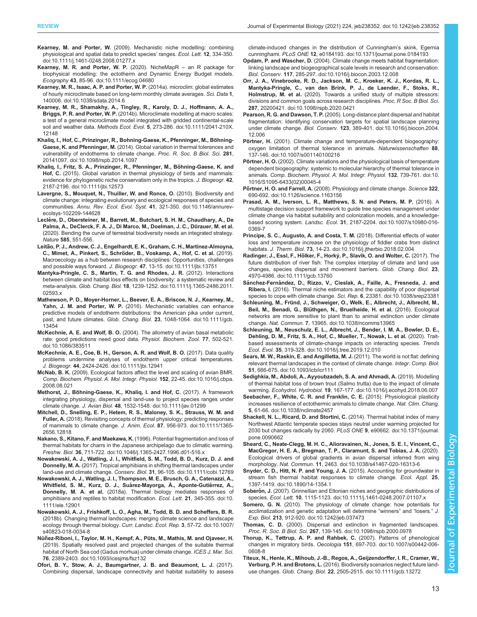- <span id="page-12-0"></span>Kearney, M. and Porter, W. [\(2009\). Mechanistic niche modelling: combining](https://doi.org/10.1111/j.1461-0248.2008.01277.x) [physiological and spatial data to predict species](https://doi.org/10.1111/j.1461-0248.2008.01277.x)' ranges. Ecol. Lett. 12, 334-350. [doi:10.1111/j.1461-0248.2008.01277.x](https://doi.org/10.1111/j.1461-0248.2008.01277.x)
- [Kearney, M. R. and Porter, W. P.](https://doi.org/10.1111/ecog.04680) (2020). NicheMapR an R package for [biophysical modelling: the ectotherm and Dynamic Energy Budget models.](https://doi.org/10.1111/ecog.04680) Ecography 43[, 85-96. doi:10.1111/ecog.04680](https://doi.org/10.1111/ecog.04680)
- [Kearney, M. R., Isaac, A. P. and Porter, W. P.](https://doi.org/10.1038/sdata.2014.6) (2014a). microclim: global estimates [of hourly microclimate based on long-term monthly climate averages.](https://doi.org/10.1038/sdata.2014.6) Sci. Data 1, [140006. doi:10.1038/sdata.2014.6](https://doi.org/10.1038/sdata.2014.6)
- [Kearney, M. R., Shamakhy, A., Tingley, R., Karoly, D. J., Hoffmann, A. A.,](https://doi.org/10.1111/2041-210X.12148) Briggs, P. R. and Porter, W. P. [\(2014b\). Microclimate modelling at macro scales:](https://doi.org/10.1111/2041-210X.12148) [a test of a general microclimate model integrated with gridded continental-scale](https://doi.org/10.1111/2041-210X.12148) soil and weather data. Methods Ecol. Evol. 5[, 273-286. doi:10.1111/2041-210X.](https://doi.org/10.1111/2041-210X.12148) [12148](https://doi.org/10.1111/2041-210X.12148)
- Khaliq, I., Hof, C., Prinzinger, R., Bohning-Gaese, K., Pfenninger, M., Böhning-Gaese, K. and Pfenninger, M. [\(2014\). Global variation in thermal tolerances and](https://doi.org/10.1098/rspb.2014.1097) [vulnerability of endotherms to climate change.](https://doi.org/10.1098/rspb.2014.1097) Proc. R. Soc. B Biol. Sci. 281, [20141097. doi:10.1098/rspb.2014.1097](https://doi.org/10.1098/rspb.2014.1097)
- Khaliq, I., Fritz, S. A., Prinzinger, R., Pfenninger, M., Böhning-Gaese, K. and Hof, C. [\(2015\). Global variation in thermal physiology of birds and mammals:](https://doi.org/10.1111/jbi.12573) [evidence for phylogenetic niche conservatism only in the tropics.](https://doi.org/10.1111/jbi.12573) J. Biogeogr. 42, [2187-2196. doi:10.1111/jbi.12573](https://doi.org/10.1111/jbi.12573)
- [Lavergne, S., Mouquet, N., Thuiller, W. and Ronce, O.](https://doi.org/10.1146/annurev-ecolsys-102209-144628) (2010). Biodiversity and [climate change: integrating evolutionary and ecological responses of species and](https://doi.org/10.1146/annurev-ecolsys-102209-144628) communities. Annu. Rev. Ecol. Evol. Syst. 41[, 321-350. doi:10.1146/annurev](https://doi.org/10.1146/annurev-ecolsys-102209-144628)[ecolsys-102209-144628](https://doi.org/10.1146/annurev-ecolsys-102209-144628)
- Leclère, D., Obersteiner, M., Barrett, M., Butchart, S. H. M., Chaudhary, A., De Palma, A., DeClerck, F. A. J., Di Marco, M., Doelman, J. C., Dürauer, M. et al. (2020). Bending the curve of terrestrial biodiversity needs an integrated strategy. Nature 585, 551-556.
- Leitão, P. J., Andrew, C. J., Engelhardt, E. K., Graham, C. H., Martinez-Almoyna, ̃ C., Mimet, A., Pinkert, S., Schrö[der, B., Voskamp, A., Hof, C. et al.](https://doi.org/10.1111/jbi.13751) (2019). [Macroecology as a hub between research disciplines: Opportunities, challenges](https://doi.org/10.1111/jbi.13751) and possible ways forward. J. Biogeogr. 47[, 13-15. doi:10.1111/jbi.13751](https://doi.org/10.1111/jbi.13751)
- [Mantyka-Pringle, C. S., Martin, T. G. and Rhodes, J. R.](https://doi.org/10.1111/j.1365-2486.2011.02593.x) (2012). Interactions [between climate and habitat loss effects on biodiversity: a systematic review and](https://doi.org/10.1111/j.1365-2486.2011.02593.x) meta-analysis. Glob. Chang. Biol. 18[, 1239-1252. doi:10.1111/j.1365-2486.2011.](https://doi.org/10.1111/j.1365-2486.2011.02593.x) [02593.x](https://doi.org/10.1111/j.1365-2486.2011.02593.x)
- [Mathewson, P. D., Moyer-Horner, L., Beever, E. A., Briscoe, N. J., Kearney, M.,](https://doi.org/10.1111/gcb.13454) Yahn, J. M. and Porter, W. P. [\(2016\). Mechanistic variables can enhance](https://doi.org/10.1111/gcb.13454) [predictive models of endotherm distributions: the American pika under current,](https://doi.org/10.1111/gcb.13454) past, and future climates. Glob. Chang. Biol. 23[, 1048-1064. doi:10.1111/gcb.](https://doi.org/10.1111/gcb.13454) [13454](https://doi.org/10.1111/gcb.13454)
- McKechnie, A. E. and Wolf, B. O. [\(2004\). The allometry of avian basal metabolic](https://doi.org/10.1086/383511) [rate: good predictions need good data.](https://doi.org/10.1086/383511) Physiol. Biochem. Zool. 77, 502-521. [doi:10.1086/383511](https://doi.org/10.1086/383511)
- [McKechnie, A. E., Coe, B. H., Gerson, A. R. and Wolf, B. O.](https://doi.org/10.1111/jbi.12941) (2017). Data quality [problems undermine analyses of endotherm upper critical temperatures.](https://doi.org/10.1111/jbi.12941) J. Biogeogr. 44[, 2424-2426. doi:10.1111/jbi.12941](https://doi.org/10.1111/jbi.12941)
- McNab, B. K. [\(2009\). Ecological factors affect the level and scaling of avian BMR.](https://doi.org/10.1016/j.cbpa.2008.08.021) [Comp. Biochem. Physiol. A. Mol. Integr. Physiol.](https://doi.org/10.1016/j.cbpa.2008.08.021) 152, 22-45. doi:10.1016/j.cbpa. [2008.08.021](https://doi.org/10.1016/j.cbpa.2008.08.021)
- Methorst, J., Bö[hning-Gaese, K., Khaliq, I. and Hof, C.](https://doi.org/10.1111/jav.01299) (2017). A framework [integrating physiology, dispersal and land-use to project species ranges under](https://doi.org/10.1111/jav.01299) climate change. J. Avian Biol. 48[, 1532-1548. doi:10.1111/jav.01299](https://doi.org/10.1111/jav.01299)
- [Mitchell, D., Snelling, E. P., Hetem, R. S., Maloney, S. K., Strauss, W. M. and](https://doi.org/10.1111/1365-2656.12818) Fuller, A. [\(2018\). Revisiting concepts of thermal physiology: predicting responses](https://doi.org/10.1111/1365-2656.12818) [of mammals to climate change.](https://doi.org/10.1111/1365-2656.12818) J. Anim. Ecol. 87, 956-973. doi:10.1111/1365- [2656.12818](https://doi.org/10.1111/1365-2656.12818)
- Nakano, S., Kitano, F. and Maekawa, K. [\(1996\). Potential fragmentation and loss of](https://doi.org/10.1046/j.1365-2427.1996.d01-516.x) [thermal habitats for charrs in the Japanese archipelago due to climatic warming.](https://doi.org/10.1046/j.1365-2427.1996.d01-516.x) Freshw. Biol. 36[, 711-722. doi:10.1046/j.1365-2427.1996.d01-516.x](https://doi.org/10.1046/j.1365-2427.1996.d01-516.x)
- [Nowakowski, A. J., Watling, J. I., Whitfield, S. M., Todd, B. D., Kurz, D. J. and](https://doi.org/10.1111/cobi.12769) Donnelly, M. A. [\(2017\). Tropical amphibians in shifting thermal landscapes under](https://doi.org/10.1111/cobi.12769) land-use and climate change. Conserv. Biol. 31[, 96-105. doi:10.1111/cobi.12769](https://doi.org/10.1111/cobi.12769)
- [Nowakowski, A. J., Watling, J. I., Thompson, M. E., Brusch, G. A., Catenazzi, A.,](https://doi.org/10.1111/ele.12901) Whitfield, S. M., Kurz, D. J., Suárez-Mayorga, Á., Aponte-Gutiérrez, A., Donnelly, M. A. et al. [\(2018a\). Thermal biology mediates responses of](https://doi.org/10.1111/ele.12901) [amphibians and reptiles to habitat modification.](https://doi.org/10.1111/ele.12901) Ecol. Lett. 21, 345-355. doi:10. [1111/ele.12901](https://doi.org/10.1111/ele.12901)
- [Nowakowski, A. J., Frishkoff, L. O., Agha, M., Todd, B. D. and Scheffers, B. R.](https://doi.org/10.1007/s40823-018-0034-8) [\(2018b\). Changing thermal landscapes: merging climate science and landscape](https://doi.org/10.1007/s40823-018-0034-8) [ecology through thermal biology.](https://doi.org/10.1007/s40823-018-0034-8) Curr. Landsc. Ecol. Rep. 3, 57-72. doi:10.1007/ [s40823-018-0034-8](https://doi.org/10.1007/s40823-018-0034-8)
- Núñez-Riboni, I., Taylor, M. H., Kempf, A., Püts, M., Mathis, M. and Ojaveer, H. [\(2019\). Spatially resolved past and projected changes of the suitable thermal](https://doi.org/10.1093/icesjms/fsz132) [habitat of North Sea cod \(Gadus morhua\) under climate change.](https://doi.org/10.1093/icesjms/fsz132) ICES J. Mar. Sci. 76[, 2389-2403. doi:10.1093/icesjms/fsz132](https://doi.org/10.1093/icesjms/fsz132)
- [Ofori, B. Y., Stow, A. J., Baumgartner, J. B. and Beaumont, L. J.](https://doi.org/10.1371/journal.pone.0184193) (2017). [Combining dispersal, landscape connectivity and habitat suitability to assess](https://doi.org/10.1371/journal.pone.0184193)

[climate-induced changes in the distribution of Cunningham](https://doi.org/10.1371/journal.pone.0184193)'s skink, Egernia cunninghami. PLoS ONE 12[, e0184193. doi:10.1371/journal.pone.0184193](https://doi.org/10.1371/journal.pone.0184193)

- Opdam, P. and Wascher, D. [\(2004\). Climate change meets habitat fragmentation:](https://doi.org/10.1016/j.biocon.2003.12.008) [linking landscape and biogeographical scale levels in research and conservation.](https://doi.org/10.1016/j.biocon.2003.12.008) Biol. Conserv. 117[, 285-297. doi:10.1016/j.biocon.2003.12.008](https://doi.org/10.1016/j.biocon.2003.12.008)
- [Orr, J. A., Vinebrooke, R. D., Jackson, M. C., Kroeker, K. J., Kordas, R. L.,](https://doi.org/10.1098/rspb.2020.0421) [Mantyka-Pringle, C., van den Brink, P. J., de Laender, F., Stoks, R.,](https://doi.org/10.1098/rspb.2020.0421) Holmstrup, M. et al. [\(2020\). Towards a unified study of multiple stressors:](https://doi.org/10.1098/rspb.2020.0421) [divisions and common goals across research disciplines.](https://doi.org/10.1098/rspb.2020.0421) Proc. R Soc. B Biol. Sci. 287[, 20200421. doi:10.1098/rspb.2020.0421](https://doi.org/10.1098/rspb.2020.0421)
- Pearson, R. G. and Dawson, T. P. [\(2005\). Long-distance plant dispersal and habitat](https://doi.org/10.1016/j.biocon.2004.12.006) [fragmentation: Identifying conservation targets for spatial landscape planning](https://doi.org/10.1016/j.biocon.2004.12.006) under climate change. Biol. Conserv. 123[, 389-401. doi:10.1016/j.biocon.2004.](https://doi.org/10.1016/j.biocon.2004.12.006) [12.006](https://doi.org/10.1016/j.biocon.2004.12.006)
- Pörtner, H. [\(2001\). Climate change and temperature-dependent biogeography:](https://doi.org/10.1007/s001140100216) [oxygen limitation of thermal tolerance in animals.](https://doi.org/10.1007/s001140100216) Naturwissenschaften 88, [137-146. doi:10.1007/s001140100216](https://doi.org/10.1007/s001140100216)
- Pörtner, H. O. [\(2002\). Climate variations and the physiological basis of temperature](https://doi.org/10.1016/S1095-6433(02)00045-4) [dependent biogeography: systemic to molecular hierarchy of thermal tolerance in](https://doi.org/10.1016/S1095-6433(02)00045-4) animals. [Comp. Biochem. Physiol. A. Mol. Integr. Physiol.](https://doi.org/10.1016/S1095-6433(02)00045-4) 132, 739-761. doi:10. [1016/S1095-6433\(02\)00045-4](https://doi.org/10.1016/S1095-6433(02)00045-4)
- Pörtner, H. O. and Farrell, A. [\(2008\). Physiology and climate change.](https://doi.org/10.1126/science.1163156) Science 322, [690-692. doi:10.1126/science.1163156](https://doi.org/10.1126/science.1163156)
- [Prasad, A. M., Iverson, L. R., Matthews, S. N. and Peters, M. P.](https://doi.org/10.1007/s10980-016-0369-7) (2016). A [multistage decision support framework to guide tree species management under](https://doi.org/10.1007/s10980-016-0369-7) [climate change via habitat suitability and colonization models, and a knowledge](https://doi.org/10.1007/s10980-016-0369-7)based scoring system. Landsc. Ecol. 31[, 2187-2204. doi:10.1007/s10980-016-](https://doi.org/10.1007/s10980-016-0369-7) [0369-7](https://doi.org/10.1007/s10980-016-0369-7)
- [Principe, S. C., Augusto, A. and Costa, T. M.](https://doi.org/10.1016/j.jtherbio.2018.02.004) (2018). Differential effects of water [loss and temperature increase on the physiology of fiddler crabs from distinct](https://doi.org/10.1016/j.jtherbio.2018.02.004) habitats. J. Therm. Biol. 73[, 14-23. doi:10.1016/j.jtherbio.2018.02.004](https://doi.org/10.1016/j.jtherbio.2018.02.004)
- Radinger, J., Essl, F., Hölker, F., Horký, P., Slavík, O. and Wolter, C. (2017). The [future distribution of river fish: The complex interplay of climate and land use](https://doi.org/10.1111/gcb.13760) [changes, species dispersal and movement barriers.](https://doi.org/10.1111/gcb.13760) Glob. Chang. Biol. 23, [4970-4986. doi:10.1111/gcb.13760](https://doi.org/10.1111/gcb.13760)
- Sánchez-Ferná[ndez, D., Rizzo, V., Cieslak, A., Faille, A., Fresneda, J. and](https://doi.org/10.1038/srep23381) Ribera, I. [\(2016\). Thermal niche estimators and the capability of poor dispersal](https://doi.org/10.1038/srep23381) [species to cope with climate change.](https://doi.org/10.1038/srep23381) Sci. Rep. 6, 23381. doi:10.1038/srep23381
- Schleuning, M., Frü[nd, J., Schweiger, O., Welk, E., Albrecht, J., Albrecht, M.,](https://doi.org/10.1038/ncomms13965) Beil, M., Benadi, G., Blü[thgen, N., Bruelheide, H. et al.](https://doi.org/10.1038/ncomms13965) (2016). Ecological [networks are more sensitive to plant than to animal extinction under climate](https://doi.org/10.1038/ncomms13965) change. Nat. Commun. 7[, 13965. doi:10.1038/ncomms13965](https://doi.org/10.1038/ncomms13965)
- [Schleuning, M., Neuschulz, E. L., Albrecht, J., Bender, I. M. A., Bowler, D. E.,](https://doi.org/10.1016/j.tree.2019.12.010) [Dehling, D. M., Fritz, S. A., Hof, C., Mueller, T., Nowak, L. et al.](https://doi.org/10.1016/j.tree.2019.12.010) (2020). Trait[based assessments of climate-change impacts on interacting species.](https://doi.org/10.1016/j.tree.2019.12.010) Trends Ecol. Evol. 35[, 319-328. doi:10.1016/j.tree.2019.12.010](https://doi.org/10.1016/j.tree.2019.12.010)
- [Sears, M. W., Raskin, E. and Angilletta, M. J.](https://doi.org/10.1093/icb/icr111) (2011). The world is not flat: defining [relevant thermal landscapes in the context of climate change.](https://doi.org/10.1093/icb/icr111) Integr. Comp. Biol. 51[, 666-675. doi:10.1093/icb/icr111](https://doi.org/10.1093/icb/icr111)
- [Sedighkia, M., Abdoli, A., Ayyoubzadeh, S. A. and Ahmadi, A.](https://doi.org/10.1016/j.ecohyd.2018.06.007) (2019). Modelling [of thermal habitat loss of brown trout \(Salmo trutta\) due to the impact of climate](https://doi.org/10.1016/j.ecohyd.2018.06.007) warming. Ecohydrol. Hydrobiol. 19[, 167-177. doi:10.1016/j.ecohyd.2018.06.007](https://doi.org/10.1016/j.ecohyd.2018.06.007)
- [Seebacher, F., White, C. R. and Franklin, C. E.](https://doi.org/10.1038/nclimate2457) (2015). Physiological plasticity [increases resilience of ectothermic animals to climate change.](https://doi.org/10.1038/nclimate2457) Nat. Clim. Chang. 5[, 61-66. doi:10.1038/nclimate2457](https://doi.org/10.1038/nclimate2457)
- [Shackell, N. L., Ricard, D. and Stortini, C.](https://doi.org/10.1371/journal.pone.0090662) (2014). Thermal habitat index of many [Northwest Atlantic temperate species stays neutral under warming projected for](https://doi.org/10.1371/journal.pone.0090662) [2030 but changes radically by 2060.](https://doi.org/10.1371/journal.pone.0090662) PLoS ONE 9, e90662. doi:10.1371/journal. [pone.0090662](https://doi.org/10.1371/journal.pone.0090662)
- [Sheard, C., Neate-Clegg, M. H. C., Alioravainen, N., Jones, S. E. I., Vincent, C.,](https://doi.org/10.1038/s41467-020-16313-6) [MacGregor, H. E. A., Bregman, T. P., Claramunt, S. and Tobias, J. A.](https://doi.org/10.1038/s41467-020-16313-6) (2020). [Ecological drivers of global gradients in avian dispersal inferred from wing](https://doi.org/10.1038/s41467-020-16313-6) morphology. Nat. Commun. 11[, 2463. doi:10.1038/s41467-020-16313-6](https://doi.org/10.1038/s41467-020-16313-6)
- [Snyder, C. D., Hitt, N. P. and Young, J. A.](https://doi.org/10.1890/14-1354.1) (2015). Accounting for groundwater in [stream fish thermal habitat responses to climate change.](https://doi.org/10.1890/14-1354.1) Ecol. Appl. 25, [1397-1419. doi:10.1890/14-1354.1](https://doi.org/10.1890/14-1354.1)
- Soberón, J. [\(2007\). Grinnellian and Eltonian niches and geographic distributions of](https://doi.org/10.1111/j.1461-0248.2007.01107.x) species. Ecol. Lett. 10[, 1115-1123. doi:10.1111/j.1461-0248.2007.01107.x](https://doi.org/10.1111/j.1461-0248.2007.01107.x)
- Somero, G. N. [\(2010\). The physiology of climate change: how potentials for](https://doi.org/10.1242/jeb.037473) [acclimatization and genetic adaptation will determine](https://doi.org/10.1242/jeb.037473) "winners" and "losers." J. Exp. Biol. 213[, 912-920. doi:10.1242/jeb.037473](https://doi.org/10.1242/jeb.037473)
- Thomas, C. D. [\(2000\). Dispersal and extinction in fragmented landscapes.](https://doi.org/10.1098/rspb.2000.0978) Proc. R. Soc. B Biol. Sci. 267[, 139-145. doi:10.1098/rspb.2000.0978](https://doi.org/10.1098/rspb.2000.0978)
- [Thorup, K., Tøttrup, A. P. and Rahbek, C.](https://doi.org/10.1007/s00442-006-0608-8) (2007). Patterns of phenological changes in migratory birds. Oecologia 151[, 697-703. doi:10.1007/s00442-006-](https://doi.org/10.1007/s00442-006-0608-8) [0608-8](https://doi.org/10.1007/s00442-006-0608-8)
- [Titeux, N., Henle, K., Mihoub, J.-B., Regos, A., Geijzendorffer, I. R., Cramer, W.,](https://doi.org/10.1111/gcb.13272) Verburg, P. H. and Brotons, L. [\(2016\). Biodiversity scenarios neglect future land](https://doi.org/10.1111/gcb.13272)use changes. Glob. Chang. Biol. 22[, 2505-2515. doi:10.1111/gcb.13272](https://doi.org/10.1111/gcb.13272)